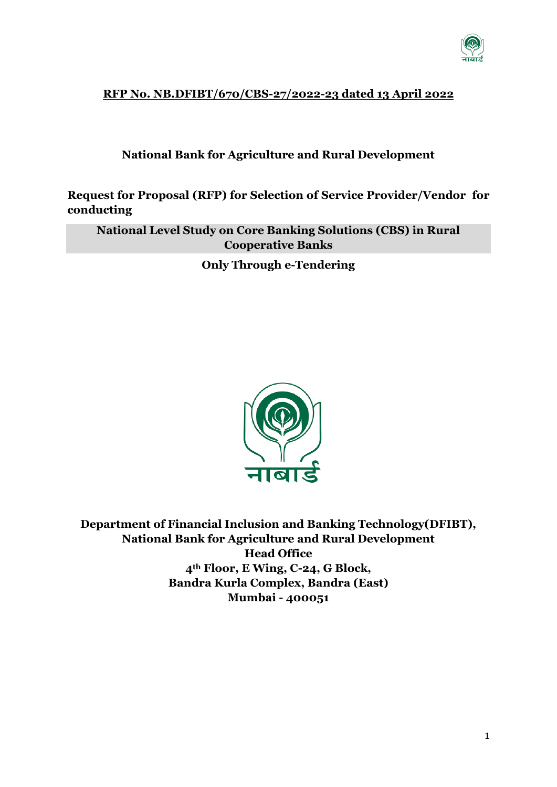

# **RFP No. NB.DFIBT/670/CBS-27/2022-23 dated 13 April 2022**

### **National Bank for Agriculture and Rural Development**

**Request for Proposal (RFP) for Selection of Service Provider/Vendor for conducting** 

**National Level Study on Core Banking Solutions (CBS) in Rural Cooperative Banks** 

**Only Through e-Tendering**



**Department of Financial Inclusion and Banking Technology(DFIBT), National Bank for Agriculture and Rural Development Head Office 4th Floor, E Wing, C-24, G Block, Bandra Kurla Complex, Bandra (East) Mumbai - 400051**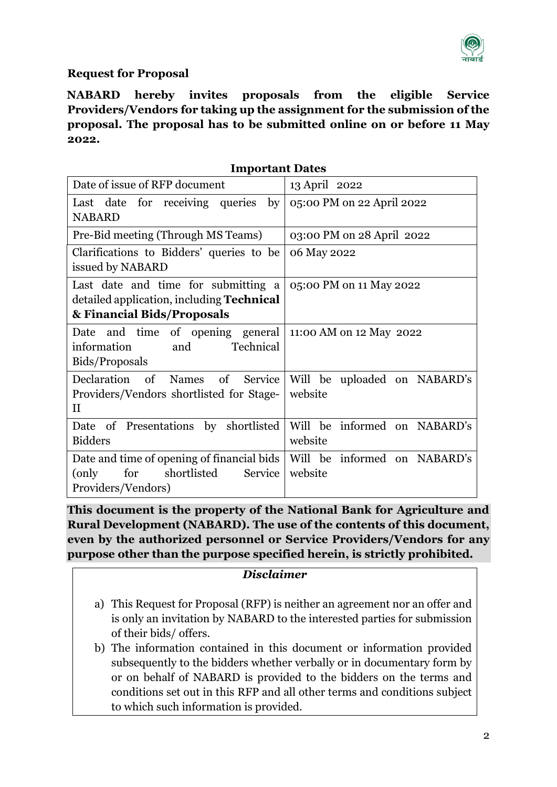

# **Request for Proposal**

**NABARD hereby invites proposals from the eligible Service Providers/Vendors for taking up the assignment for the submission of the proposal. The proposal has to be submitted online on or before 11 May 2022.**

| <b>Important Dates</b> |  |
|------------------------|--|
|------------------------|--|

| Date of issue of RFP document                                                                                                              | 13 April 2022                           |
|--------------------------------------------------------------------------------------------------------------------------------------------|-----------------------------------------|
| Last date for receiving queries<br>by <sub>1</sub><br><b>NABARD</b>                                                                        | 05:00 PM on 22 April 2022               |
| Pre-Bid meeting (Through MS Teams)                                                                                                         | 03:00 PM on 28 April 2022               |
| Clarifications to Bidders' queries to be<br>issued by NABARD                                                                               | 06 May 2022                             |
| Last date and time for submitting a<br>detailed application, including <b>Technical</b><br>& Financial Bids/Proposals                      | 05:00 PM on 11 May 2022                 |
| Date and time of opening general<br>Technical<br>information<br>and<br>Bids/Proposals                                                      | 11:00 AM on 12 May 2022                 |
| Declaration of Names of Service<br>Providers/Vendors shortlisted for Stage-<br>$\rm II$                                                    | Will be uploaded on NABARD's<br>website |
| Date of Presentations by shortlisted<br><b>Bidders</b>                                                                                     | Will be informed on NABARD's<br>website |
| Date and time of opening of financial bids   Will be informed on NABARD's<br>shortlisted<br>Service<br>for<br>(only)<br>Providers/Vendors) | website                                 |

**This document is the property of the National Bank for Agriculture and Rural Development (NABARD). The use of the contents of this document, even by the authorized personnel or Service Providers/Vendors for any purpose other than the purpose specified herein, is strictly prohibited.**

#### *Disclaimer*

- a) This Request for Proposal (RFP) is neither an agreement nor an offer and is only an invitation by NABARD to the interested parties for submission of their bids/ offers.
- b) The information contained in this document or information provided subsequently to the bidders whether verbally or in documentary form by or on behalf of NABARD is provided to the bidders on the terms and conditions set out in this RFP and all other terms and conditions subject to which such information is provided.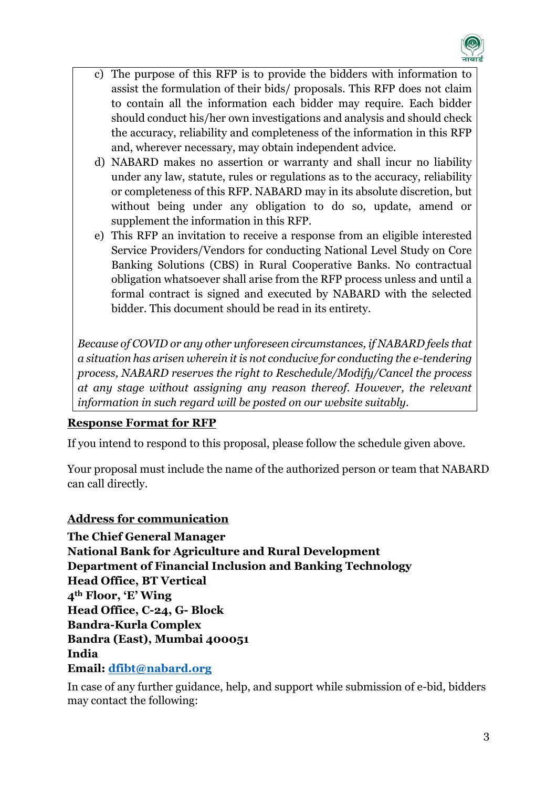

- c) The purpose of this RFP is to provide the bidders with information to assist the formulation of their bids/ proposals. This RFP does not claim to contain all the information each bidder may require. Each bidder should conduct his/her own investigations and analysis and should check the accuracy, reliability and completeness of the information in this RFP and, wherever necessary, may obtain independent advice.
- d) NABARD makes no assertion or warranty and shall incur no liability under any law, statute, rules or regulations as to the accuracy, reliability or completeness of this RFP. NABARD may in its absolute discretion, but without being under any obligation to do so, update, amend or supplement the information in this RFP.
- e) This RFP an invitation to receive a response from an eligible interested Service Providers/Vendors for conducting National Level Study on Core Banking Solutions (CBS) in Rural Cooperative Banks. No contractual obligation whatsoever shall arise from the RFP process unless and until a formal contract is signed and executed by NABARD with the selected bidder. This document should be read in its entirety.

*Because of COVID or any other unforeseen circumstances, if NABARD feels that a situation has arisen wherein it is not conducive for conducting the e-tendering process, NABARD reserves the right to Reschedule/Modify/Cancel the process at any stage without assigning any reason thereof. However, the relevant information in such regard will be posted on our website suitably.*

#### **Response Format for RFP**

If you intend to respond to this proposal, please follow the schedule given above.

Your proposal must include the name of the authorized person or team that NABARD can call directly.

# **Address for communication**

**The Chief General Manager National Bank for Agriculture and Rural Development Department of Financial Inclusion and Banking Technology Head Office, BT Vertical 4th Floor, 'E' Wing Head Office, C-24, G- Block Bandra-Kurla Complex Bandra (East), Mumbai 400051 India Email: [dfibt@nabard.org](mailto:dfibt@nabard.org)**

In case of any further guidance, help, and support while submission of e-bid, bidders may contact the following: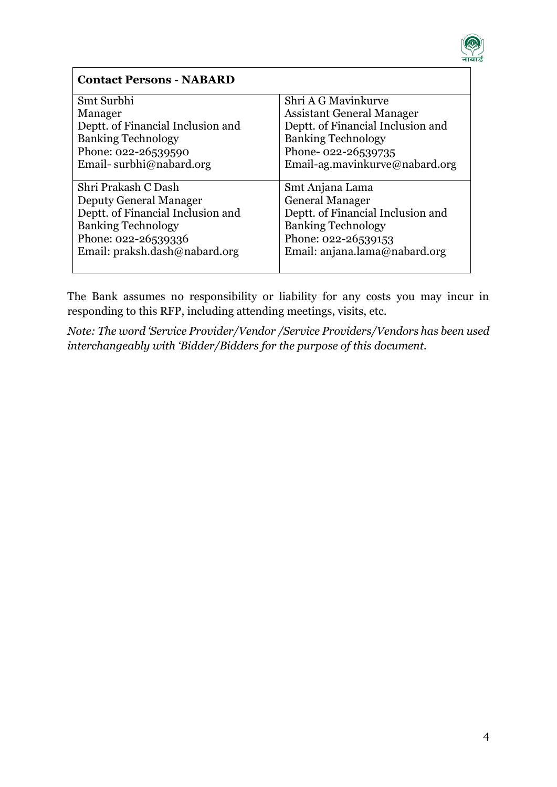

| <b>Contact Persons - NABARD</b>   |                                   |
|-----------------------------------|-----------------------------------|
| Smt Surbhi                        | Shri A G Mavinkurve               |
| Manager                           | <b>Assistant General Manager</b>  |
| Deptt. of Financial Inclusion and | Deptt. of Financial Inclusion and |
| <b>Banking Technology</b>         | <b>Banking Technology</b>         |
| Phone: 022-26539590               | Phone-022-26539735                |
| Email-surbhi@nabard.org           | Email-ag.mavinkurve@nabard.org    |
|                                   |                                   |
| Shri Prakash C Dash               | Smt Anjana Lama                   |
| <b>Deputy General Manager</b>     | <b>General Manager</b>            |
| Deptt. of Financial Inclusion and | Deptt. of Financial Inclusion and |
| <b>Banking Technology</b>         | <b>Banking Technology</b>         |
| Phone: 022-26539336               | Phone: 022-26539153               |
| Email: praksh.dash@nabard.org     | Email: anjana.lama@nabard.org     |
|                                   |                                   |

The Bank assumes no responsibility or liability for any costs you may incur in responding to this RFP, including attending meetings, visits, etc.

*Note: The word 'Service Provider/Vendor /Service Providers/Vendors has been used interchangeably with 'Bidder/Bidders for the purpose of this document.*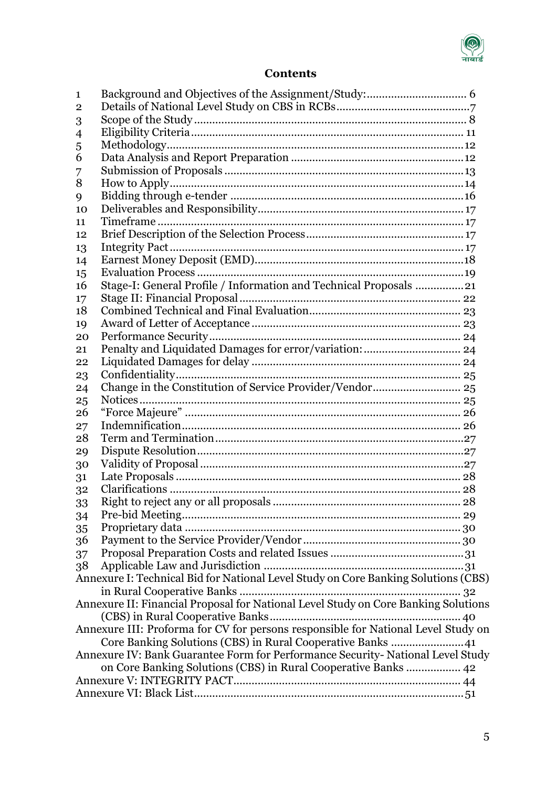

# **Contents**

| 1              |                                                                                    |
|----------------|------------------------------------------------------------------------------------|
| $\overline{2}$ |                                                                                    |
| 3              |                                                                                    |
| $\overline{4}$ |                                                                                    |
| 5              |                                                                                    |
| 6              |                                                                                    |
| 7              |                                                                                    |
| 8              |                                                                                    |
| 9              |                                                                                    |
| 10             |                                                                                    |
| 11             |                                                                                    |
| 12             |                                                                                    |
| 13             |                                                                                    |
| 14             |                                                                                    |
| 15             |                                                                                    |
| 16             | Stage-I: General Profile / Information and Technical Proposals 21                  |
| 17             |                                                                                    |
| 18             |                                                                                    |
| 19             |                                                                                    |
| 20             |                                                                                    |
| 21             |                                                                                    |
| 22             |                                                                                    |
| 23             |                                                                                    |
| 24             |                                                                                    |
| 25             |                                                                                    |
| 26             |                                                                                    |
| 27             |                                                                                    |
| 28             |                                                                                    |
| 29             |                                                                                    |
| 30             |                                                                                    |
| 31             |                                                                                    |
| 32             |                                                                                    |
| 33             |                                                                                    |
| 34             |                                                                                    |
| 35             |                                                                                    |
| 36             |                                                                                    |
| 37             |                                                                                    |
| 38             |                                                                                    |
|                | Annexure I: Technical Bid for National Level Study on Core Banking Solutions (CBS) |
|                |                                                                                    |
|                | Annexure II: Financial Proposal for National Level Study on Core Banking Solutions |
|                |                                                                                    |
|                | Annexure III: Proforma for CV for persons responsible for National Level Study on  |
|                |                                                                                    |
|                |                                                                                    |
|                | Annexure IV: Bank Guarantee Form for Performance Security- National Level Study    |
|                | on Core Banking Solutions (CBS) in Rural Cooperative Banks  42                     |
|                |                                                                                    |
|                |                                                                                    |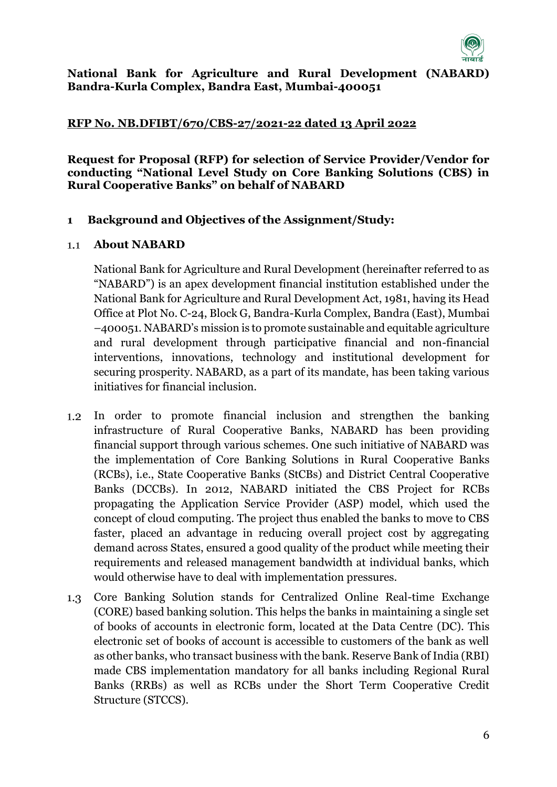

#### **National Bank for Agriculture and Rural Development (NABARD) Bandra-Kurla Complex, Bandra East, Mumbai-400051**

#### **RFP No. NB.DFIBT/670/CBS-27/2021-22 dated 13 April 2022**

**Request for Proposal (RFP) for selection of Service Provider/Vendor for conducting "National Level Study on Core Banking Solutions (CBS) in Rural Cooperative Banks" on behalf of NABARD**

#### <span id="page-5-0"></span>**1 Background and Objectives of the Assignment/Study:**

#### **About NABARD**  $1.1$

National Bank for Agriculture and Rural Development (hereinafter referred to as "NABARD") is an apex development financial institution established under the National Bank for Agriculture and Rural Development Act, 1981, having its Head Office at Plot No. C-24, Block G, Bandra-Kurla Complex, Bandra (East), Mumbai –400051. NABARD's mission is to promote sustainable and equitable agriculture and rural development through participative financial and non-financial interventions, innovations, technology and institutional development for securing prosperity. NABARD, as a part of its mandate, has been taking various initiatives for financial inclusion.

- $1.2$ In order to promote financial inclusion and strengthen the banking infrastructure of Rural Cooperative Banks, NABARD has been providing financial support through various schemes. One such initiative of NABARD was the implementation of Core Banking Solutions in Rural Cooperative Banks (RCBs), i.e., State Cooperative Banks (StCBs) and District Central Cooperative Banks (DCCBs). In 2012, NABARD initiated the CBS Project for RCBs propagating the Application Service Provider (ASP) model, which used the concept of cloud computing. The project thus enabled the banks to move to CBS faster, placed an advantage in reducing overall project cost by aggregating demand across States, ensured a good quality of the product while meeting their requirements and released management bandwidth at individual banks, which would otherwise have to deal with implementation pressures.
- Core Banking Solution stands for Centralized Online Real-time Exchange  $1.3$ (CORE) based banking solution. This helps the banks in maintaining a single set of books of accounts in electronic form, located at the Data Centre (DC). This electronic set of books of account is accessible to customers of the bank as well as other banks, who transact business with the bank. Reserve Bank of India (RBI) made CBS implementation mandatory for all banks including Regional Rural Banks (RRBs) as well as RCBs under the Short Term Cooperative Credit Structure (STCCS).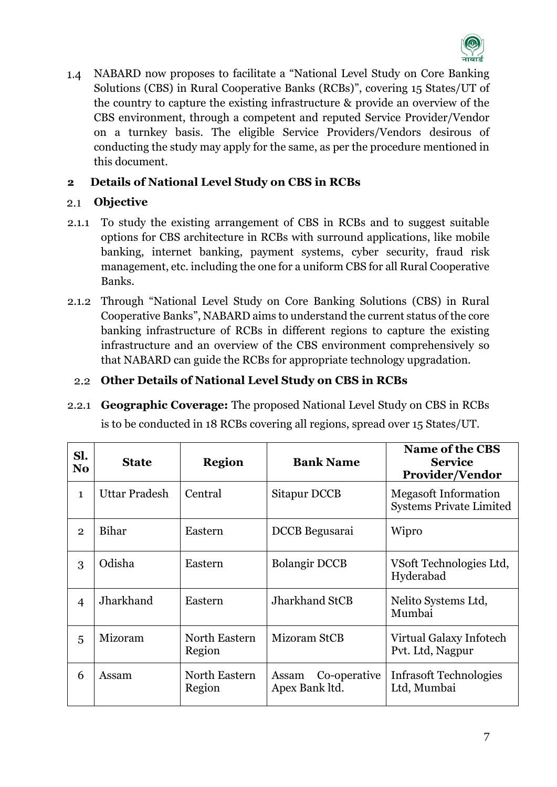

 $1.4$ NABARD now proposes to facilitate a "National Level Study on Core Banking Solutions (CBS) in Rural Cooperative Banks (RCBs)", covering 15 States/UT of the country to capture the existing infrastructure & provide an overview of the CBS environment, through a competent and reputed Service Provider/Vendor on a turnkey basis. The eligible Service Providers/Vendors desirous of conducting the study may apply for the same, as per the procedure mentioned in this document.

# <span id="page-6-0"></span>**2 Details of National Level Study on CBS in RCBs**

#### $2.1$ **Objective**

- 2.1.1 To study the existing arrangement of CBS in RCBs and to suggest suitable options for CBS architecture in RCBs with surround applications, like mobile banking, internet banking, payment systems, cyber security, fraud risk management, etc. including the one for a uniform CBS for all Rural Cooperative Banks.
- 2.1.2 Through "National Level Study on Core Banking Solutions (CBS) in Rural Cooperative Banks", NABARD aims to understand the current status of the core banking infrastructure of RCBs in different regions to capture the existing infrastructure and an overview of the CBS environment comprehensively so that NABARD can guide the RCBs for appropriate technology upgradation.

# **Other Details of National Level Study on CBS in RCBs**

2.2.1 **Geographic Coverage:** The proposed National Level Study on CBS in RCBs

is to be conducted in 18 RCBs covering all regions, spread over 15 States/UT.

| Sl.<br>N <sub>0</sub> | <b>State</b>  | <b>Region</b>           | <b>Bank Name</b>                        | <b>Name of the CBS</b><br><b>Service</b><br>Provider/Vendor   |
|-----------------------|---------------|-------------------------|-----------------------------------------|---------------------------------------------------------------|
| $\mathbf{1}$          | Uttar Pradesh | Central                 | Sitapur DCCB                            | <b>Megasoft Information</b><br><b>Systems Private Limited</b> |
| $\overline{2}$        | Bihar         | Eastern                 | DCCB Begusarai                          | Wipro                                                         |
| 3                     | Odisha        | Eastern                 | <b>Bolangir DCCB</b>                    | VS oft Technologies Ltd,<br>Hyderabad                         |
| $\overline{4}$        | Jharkhand     | Eastern                 | <b>Jharkhand StCB</b>                   | Nelito Systems Ltd,<br>Mumbai                                 |
| 5                     | Mizoram       | North Eastern<br>Region | Mizoram StCB                            | Virtual Galaxy Infotech<br>Pvt. Ltd, Nagpur                   |
| 6                     | Assam         | North Eastern<br>Region | Co-operative<br>Assam<br>Apex Bank ltd. | <b>Infrasoft Technologies</b><br>Ltd, Mumbai                  |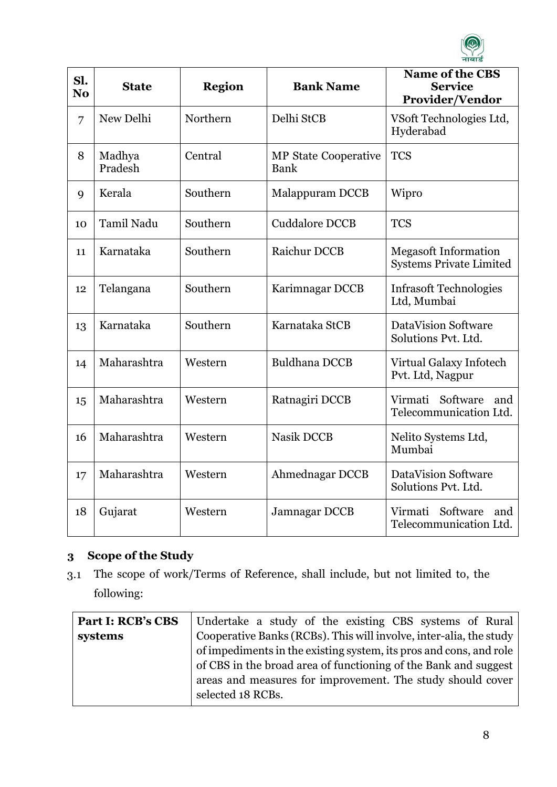

| Sl.<br>N <sub>0</sub> | <b>State</b>      | <b>Region</b> | <b>Bank Name</b>                    | <b>Name of the CBS</b><br><b>Service</b><br><b>Provider/Vendor</b> |
|-----------------------|-------------------|---------------|-------------------------------------|--------------------------------------------------------------------|
| 7                     | New Delhi         | Northern      | Delhi StCB                          | VSoft Technologies Ltd,<br>Hyderabad                               |
| 8                     | Madhya<br>Pradesh | Central       | <b>MP</b> State Cooperative<br>Bank | <b>TCS</b>                                                         |
| 9                     | Kerala            | Southern      | Malappuram DCCB                     | Wipro                                                              |
| 10                    | Tamil Nadu        | Southern      | <b>Cuddalore DCCB</b>               | <b>TCS</b>                                                         |
| 11                    | Karnataka         | Southern      | Raichur DCCB                        | <b>Megasoft Information</b><br><b>Systems Private Limited</b>      |
| 12                    | Telangana         | Southern      | Karimnagar DCCB                     | <b>Infrasoft Technologies</b><br>Ltd, Mumbai                       |
| 13                    | Karnataka         | Southern      | Karnataka StCB                      | <b>DataVision Software</b><br>Solutions Pvt. Ltd.                  |
| 14                    | Maharashtra       | Western       | <b>Buldhana DCCB</b>                | Virtual Galaxy Infotech<br>Pvt. Ltd, Nagpur                        |
| 15                    | Maharashtra       | Western       | Ratnagiri DCCB                      | Virmati<br>Software<br>and<br>Telecommunication Ltd.               |
| 16                    | Maharashtra       | Western       | <b>Nasik DCCB</b>                   | Nelito Systems Ltd,<br>Mumbai                                      |
| 17                    | Maharashtra       | Western       | Ahmednagar DCCB                     | <b>DataVision Software</b><br>Solutions Pvt. Ltd.                  |
| 18                    | Gujarat           | Western       | Jamnagar DCCB                       | Software<br>Virmati<br>and<br>Telecommunication Ltd.               |

# <span id="page-7-0"></span>**3 Scope of the Study**

The scope of work/Terms of Reference, shall include, but not limited to, the  $3.1$ following:

| Undertake a study of the existing CBS systems of Rural             |
|--------------------------------------------------------------------|
| Cooperative Banks (RCBs). This will involve, inter-alia, the study |
| of impediments in the existing system, its pros and cons, and role |
| of CBS in the broad area of functioning of the Bank and suggest    |
| areas and measures for improvement. The study should cover         |
| selected 18 RCBs.                                                  |
|                                                                    |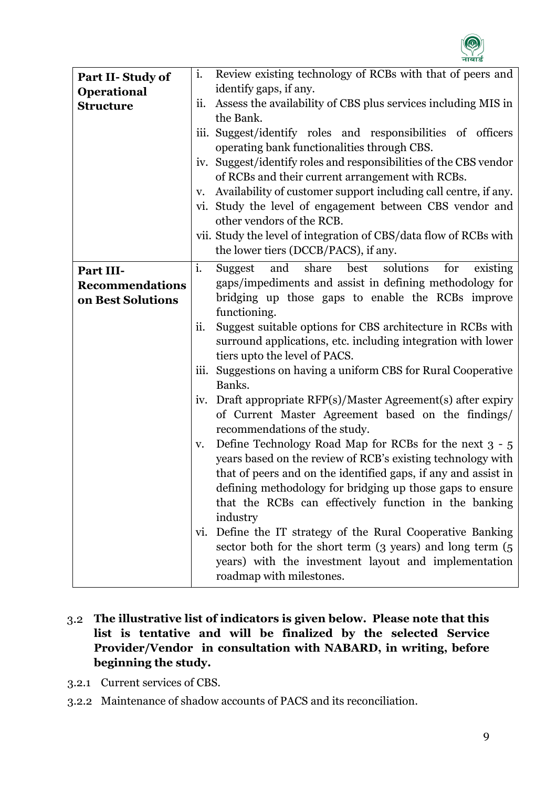

| Part II-Study of       | i.   | Review existing technology of RCBs with that of peers and              |
|------------------------|------|------------------------------------------------------------------------|
| Operational            |      | identify gaps, if any.                                                 |
| <b>Structure</b>       | ii.  | Assess the availability of CBS plus services including MIS in          |
|                        |      | the Bank.                                                              |
|                        | 111. | Suggest/identify roles and responsibilities of officers                |
|                        |      | operating bank functionalities through CBS.                            |
|                        |      | iv. Suggest/identify roles and responsibilities of the CBS vendor      |
|                        |      | of RCBs and their current arrangement with RCBs.                       |
|                        | V.   | Availability of customer support including call centre, if any.        |
|                        | Vl.  | Study the level of engagement between CBS vendor and                   |
|                        |      | other vendors of the RCB.                                              |
|                        |      | vii. Study the level of integration of CBS/data flow of RCBs with      |
|                        |      | the lower tiers (DCCB/PACS), if any.                                   |
| Part III-              | i.   | and<br>share<br>best<br>solutions<br><b>Suggest</b><br>existing<br>for |
| <b>Recommendations</b> |      | gaps/impediments and assist in defining methodology for                |
| on Best Solutions      |      | bridging up those gaps to enable the RCBs improve                      |
|                        |      | functioning.                                                           |
|                        | ii.  | Suggest suitable options for CBS architecture in RCBs with             |
|                        |      | surround applications, etc. including integration with lower           |
|                        |      | tiers upto the level of PACS.                                          |
|                        | III. | Suggestions on having a uniform CBS for Rural Cooperative              |
|                        |      | Banks.                                                                 |
|                        | iv.  | Draft appropriate RFP(s)/Master Agreement(s) after expiry              |
|                        |      | of Current Master Agreement based on the findings/                     |
|                        |      | recommendations of the study.                                          |
|                        | v.   | Define Technology Road Map for RCBs for the next 3 - 5                 |
|                        |      | years based on the review of RCB's existing technology with            |
|                        |      | that of peers and on the identified gaps, if any and assist in         |
|                        |      | defining methodology for bridging up those gaps to ensure              |
|                        |      | that the RCBs can effectively function in the banking                  |
|                        |      | industry                                                               |
|                        |      | vi. Define the IT strategy of the Rural Cooperative Banking            |
|                        |      | sector both for the short term (3 years) and long term (5              |
|                        |      | years) with the investment layout and implementation                   |
|                        |      | roadmap with milestones.                                               |

- **The illustrative list of indicators is given below. Please note that this list is tentative and will be finalized by the selected Service Provider/Vendor in consultation with NABARD, in writing, before beginning the study.**
- 3.2.1 Current services of CBS.
- 3.2.2 Maintenance of shadow accounts of PACS and its reconciliation.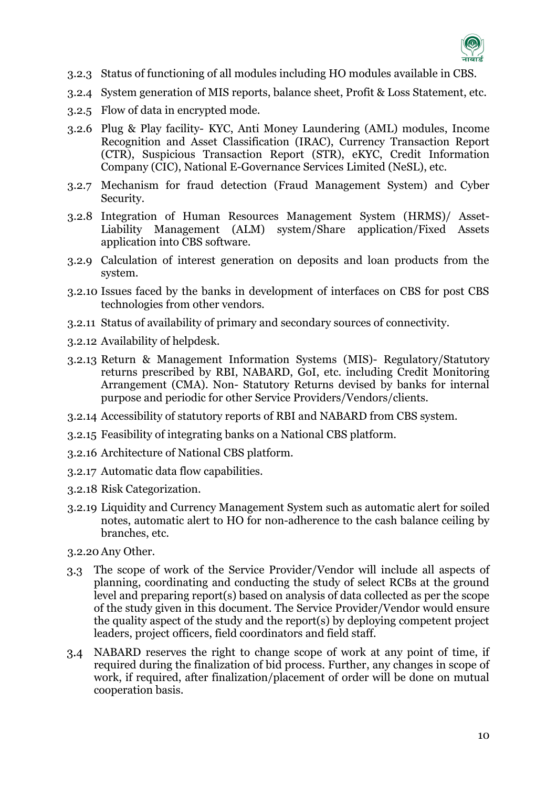

- 3.2.3 Status of functioning of all modules including HO modules available in CBS.
- 3.2.4 System generation of MIS reports, balance sheet, Profit & Loss Statement, etc.
- 3.2.5 Flow of data in encrypted mode.
- 3.2.6 Plug & Play facility- KYC, Anti Money Laundering (AML) modules, Income Recognition and Asset Classification (IRAC), Currency Transaction Report (CTR), Suspicious Transaction Report (STR), eKYC, Credit Information Company (CIC), National E-Governance Services Limited (NeSL), etc.
- 3.2.7 Mechanism for fraud detection (Fraud Management System) and Cyber Security.
- 3.2.8 Integration of Human Resources Management System (HRMS)/ Asset-Liability Management (ALM) system/Share application/Fixed Assets application into CBS software.
- 3.2.9 Calculation of interest generation on deposits and loan products from the system.
- 3.2.10 Issues faced by the banks in development of interfaces on CBS for post CBS technologies from other vendors.
- 3.2.11 Status of availability of primary and secondary sources of connectivity.
- 3.2.12 Availability of helpdesk.
- 3.2.13 Return & Management Information Systems (MIS)- Regulatory/Statutory returns prescribed by RBI, NABARD, GoI, etc. including Credit Monitoring Arrangement (CMA). Non- Statutory Returns devised by banks for internal purpose and periodic for other Service Providers/Vendors/clients.
- 3.2.14 Accessibility of statutory reports of RBI and NABARD from CBS system.
- 3.2.15 Feasibility of integrating banks on a National CBS platform.
- 3.2.16 Architecture of National CBS platform.
- 3.2.17 Automatic data flow capabilities.
- 3.2.18 Risk Categorization.
- 3.2.19 Liquidity and Currency Management System such as automatic alert for soiled notes, automatic alert to HO for non-adherence to the cash balance ceiling by branches, etc.
- 3.2.20 Any Other.
- The scope of work of the Service Provider/Vendor will include all aspects of  $3.3<sub>1</sub>$ planning, coordinating and conducting the study of select RCBs at the ground level and preparing report(s) based on analysis of data collected as per the scope of the study given in this document. The Service Provider/Vendor would ensure the quality aspect of the study and the report(s) by deploying competent project leaders, project officers, field coordinators and field staff.
- NABARD reserves the right to change scope of work at any point of time, if required during the finalization of bid process. Further, any changes in scope of work, if required, after finalization/placement of order will be done on mutual cooperation basis.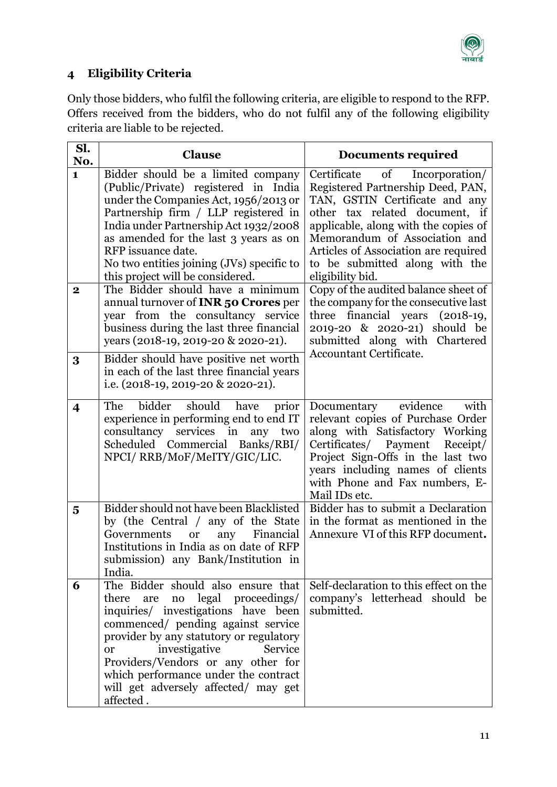

# <span id="page-10-0"></span>**4 Eligibility Criteria**

Only those bidders, who fulfil the following criteria, are eligible to respond to the RFP. Offers received from the bidders, who do not fulfil any of the following eligibility criteria are liable to be rejected.

| Sl.<br>No.              | <b>Clause</b>                                                                                                                                                                                                                                                                                                                                                                                                                           | Documents required                                                                                                                                                                                                                                                                                                                                                                            |
|-------------------------|-----------------------------------------------------------------------------------------------------------------------------------------------------------------------------------------------------------------------------------------------------------------------------------------------------------------------------------------------------------------------------------------------------------------------------------------|-----------------------------------------------------------------------------------------------------------------------------------------------------------------------------------------------------------------------------------------------------------------------------------------------------------------------------------------------------------------------------------------------|
| 1<br>$\mathbf{2}$       | Bidder should be a limited company<br>(Public/Private) registered in India<br>under the Companies Act, 1956/2013 or<br>Partnership firm / LLP registered in<br>India under Partnership Act 1932/2008<br>as amended for the last 3 years as on<br>RFP issuance date.<br>No two entities joining (JVs) specific to<br>this project will be considered.<br>The Bidder should have a minimum<br>annual turnover of <b>INR 50 Crores</b> per | Certificate of Incorporation/<br>Registered Partnership Deed, PAN,<br>TAN, GSTIN Certificate and any<br>other tax related document, if<br>applicable, along with the copies of<br>Memorandum of Association and<br>Articles of Association are required<br>to be submitted along with the<br>eligibility bid.<br>Copy of the audited balance sheet of<br>the company for the consecutive last |
|                         | year from the consultancy service<br>business during the last three financial<br>years (2018-19, 2019-20 & 2020-21).                                                                                                                                                                                                                                                                                                                    | three financial years (2018-19,<br>2019-20 & 2020-21) should be<br>submitted along with Chartered                                                                                                                                                                                                                                                                                             |
| 3                       | Bidder should have positive net worth<br>in each of the last three financial years<br>i.e. $(2018-19, 2019-20 \& 2020-21)$ .                                                                                                                                                                                                                                                                                                            | Accountant Certificate.                                                                                                                                                                                                                                                                                                                                                                       |
| $\overline{\mathbf{4}}$ | The<br>bidder<br>should have<br>prior<br>experience in performing end to end IT<br>consultancy services in<br>any two<br>Scheduled Commercial Banks/RBI/<br>NPCI/RRB/MoF/MeITY/GIC/LIC.                                                                                                                                                                                                                                                 | evidence<br>with<br>Documentary<br>relevant copies of Purchase Order<br>along with Satisfactory Working<br>Certificates/ Payment Receipt/<br>Project Sign-Offs in the last two<br>years including names of clients<br>with Phone and Fax numbers, E-<br>Mail IDs etc.                                                                                                                         |
| 5                       | Bidder should not have been Blacklisted<br>by (the Central / any of the State<br>Governments<br>Financial<br><b>or</b><br>any<br>Institutions in India as on date of RFP<br>submission) any Bank/Institution in<br>India.                                                                                                                                                                                                               | Bidder has to submit a Declaration<br>in the format as mentioned in the<br>Annexure VI of this RFP document.                                                                                                                                                                                                                                                                                  |
| 6                       | The Bidder should also ensure that<br>legal proceedings/<br>are no<br>there<br>inquiries/ investigations have been<br>commenced/ pending against service<br>provider by any statutory or regulatory<br>investigative<br>Service<br><sub>or</sub><br>Providers/Vendors or any other for<br>which performance under the contract<br>will get adversely affected/ may get<br>affected.                                                     | Self-declaration to this effect on the<br>company's letterhead should be<br>submitted.                                                                                                                                                                                                                                                                                                        |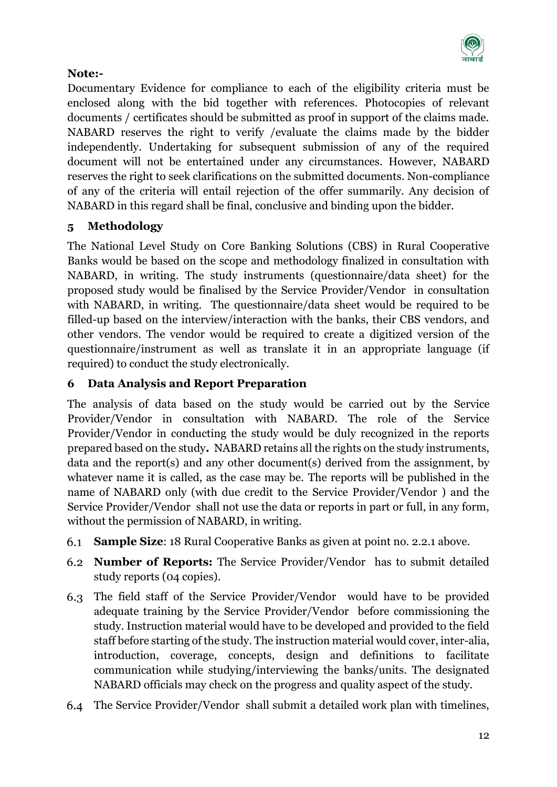

# **Note:-**

Documentary Evidence for compliance to each of the eligibility criteria must be enclosed along with the bid together with references. Photocopies of relevant documents / certificates should be submitted as proof in support of the claims made. NABARD reserves the right to verify /evaluate the claims made by the bidder independently. Undertaking for subsequent submission of any of the required document will not be entertained under any circumstances. However, NABARD reserves the right to seek clarifications on the submitted documents. Non-compliance of any of the criteria will entail rejection of the offer summarily. Any decision of NABARD in this regard shall be final, conclusive and binding upon the bidder.

# <span id="page-11-0"></span>**5 Methodology**

The National Level Study on Core Banking Solutions (CBS) in Rural Cooperative Banks would be based on the scope and methodology finalized in consultation with NABARD, in writing. The study instruments (questionnaire/data sheet) for the proposed study would be finalised by the Service Provider/Vendor in consultation with NABARD, in writing. The questionnaire/data sheet would be required to be filled-up based on the interview/interaction with the banks, their CBS vendors, and other vendors. The vendor would be required to create a digitized version of the questionnaire/instrument as well as translate it in an appropriate language (if required) to conduct the study electronically.

# <span id="page-11-1"></span>**6 Data Analysis and Report Preparation**

The analysis of data based on the study would be carried out by the Service Provider/Vendor in consultation with NABARD. The role of the Service Provider/Vendor in conducting the study would be duly recognized in the reports prepared based on the study**.** NABARD retains all the rights on the study instruments, data and the report(s) and any other document(s) derived from the assignment, by whatever name it is called, as the case may be. The reports will be published in the name of NABARD only (with due credit to the Service Provider/Vendor ) and the Service Provider/Vendor shall not use the data or reports in part or full, in any form, without the permission of NABARD, in writing.

- **Sample Size**: 18 Rural Cooperative Banks as given at point no. 2.2.1 above. 6.1
- **Number of Reports:** The Service Provider/Vendor has to submit detailed study reports (04 copies).
- 6.3 The field staff of the Service Provider/Vendor would have to be provided adequate training by the Service Provider/Vendor before commissioning the study. Instruction material would have to be developed and provided to the field staff before starting of the study. The instruction material would cover, inter-alia, introduction, coverage, concepts, design and definitions to facilitate communication while studying/interviewing the banks/units. The designated NABARD officials may check on the progress and quality aspect of the study.
- The Service Provider/Vendor shall submit a detailed work plan with timelines,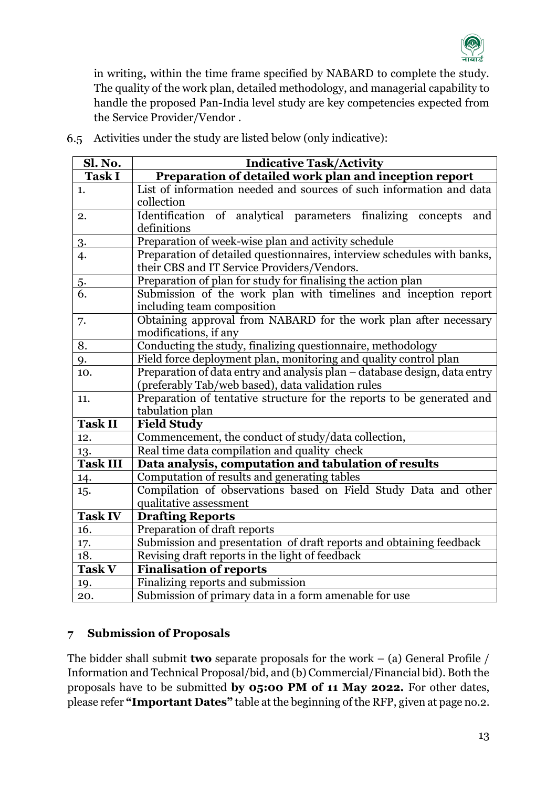

in writing**,** within the time frame specified by NABARD to complete the study. The quality of the work plan, detailed methodology, and managerial capability to handle the proposed Pan-India level study are key competencies expected from the Service Provider/Vendor .

| Sl. No.         | <b>Indicative Task/Activity</b>                                           |  |  |  |  |
|-----------------|---------------------------------------------------------------------------|--|--|--|--|
| <b>Task I</b>   | Preparation of detailed work plan and inception report                    |  |  |  |  |
| 1.              | List of information needed and sources of such information and data       |  |  |  |  |
|                 | collection                                                                |  |  |  |  |
| 2.              | Identification of analytical parameters finalizing concepts<br>and        |  |  |  |  |
|                 | definitions                                                               |  |  |  |  |
| 3.              | Preparation of week-wise plan and activity schedule                       |  |  |  |  |
| 4.              | Preparation of detailed questionnaires, interview schedules with banks,   |  |  |  |  |
|                 | their CBS and IT Service Providers/Vendors.                               |  |  |  |  |
| 5.              | Preparation of plan for study for finalising the action plan              |  |  |  |  |
| 6.              | Submission of the work plan with timelines and inception report           |  |  |  |  |
|                 | including team composition                                                |  |  |  |  |
| 7.              | Obtaining approval from NABARD for the work plan after necessary          |  |  |  |  |
|                 | modifications, if any                                                     |  |  |  |  |
| 8.              | Conducting the study, finalizing questionnaire, methodology               |  |  |  |  |
| 9.              | Field force deployment plan, monitoring and quality control plan          |  |  |  |  |
| 10.             | Preparation of data entry and analysis plan - database design, data entry |  |  |  |  |
|                 | (preferably Tab/web based), data validation rules                         |  |  |  |  |
| 11.             | Preparation of tentative structure for the reports to be generated and    |  |  |  |  |
|                 | tabulation plan                                                           |  |  |  |  |
| <b>Task II</b>  | <b>Field Study</b>                                                        |  |  |  |  |
| 12.             | Commencement, the conduct of study/data collection,                       |  |  |  |  |
| 13.             | Real time data compilation and quality check                              |  |  |  |  |
| <b>Task III</b> | Data analysis, computation and tabulation of results                      |  |  |  |  |
| 14.             | Computation of results and generating tables                              |  |  |  |  |
| 15.             | Compilation of observations based on Field Study Data and other           |  |  |  |  |
|                 | qualitative assessment                                                    |  |  |  |  |
| <b>Task IV</b>  | <b>Drafting Reports</b>                                                   |  |  |  |  |
| 16.             | Preparation of draft reports                                              |  |  |  |  |
| 17.             | Submission and presentation of draft reports and obtaining feedback       |  |  |  |  |
| 18.             | Revising draft reports in the light of feedback                           |  |  |  |  |
| <b>Task V</b>   | <b>Finalisation of reports</b>                                            |  |  |  |  |
| 19.             | Finalizing reports and submission                                         |  |  |  |  |
| 20.             | Submission of primary data in a form amenable for use                     |  |  |  |  |

Activities under the study are listed below (only indicative):

# <span id="page-12-0"></span>**7 Submission of Proposals**

The bidder shall submit **two** separate proposals for the work – (a) General Profile / Information and Technical Proposal/bid, and (b) Commercial/Financial bid). Both the proposals have to be submitted **by 05:00 PM of 11 May 2022.** For other dates, please refer **"Important Dates"** table at the beginning of the RFP, given at page no.2.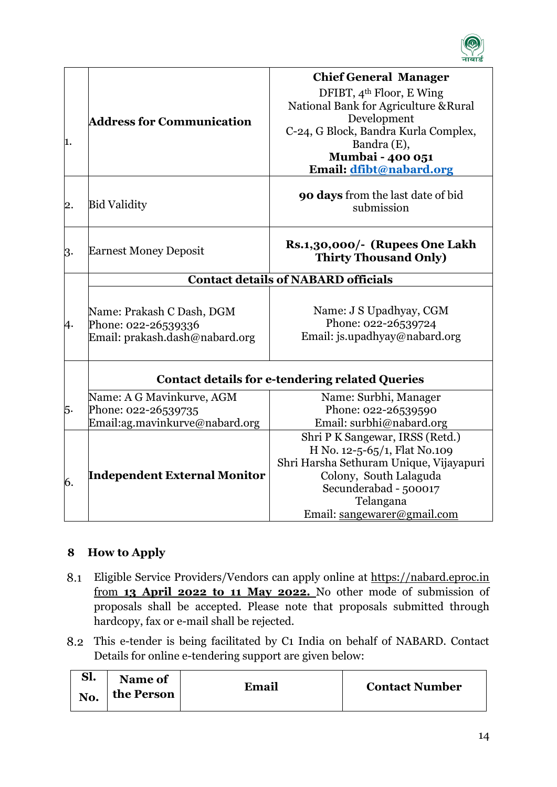

| 1. | <b>Address for Communication</b>                                                   | <b>Chief General Manager</b><br>DFIBT, 4 <sup>th</sup> Floor, E Wing<br>National Bank for Agriculture & Rural<br>Development<br>C-24, G Block, Bandra Kurla Complex,<br>Bandra (E),<br>Mumbai - 400 051<br>Email: dfibt@nabard.org |
|----|------------------------------------------------------------------------------------|------------------------------------------------------------------------------------------------------------------------------------------------------------------------------------------------------------------------------------|
| 2. | <b>Bid Validity</b>                                                                | 90 days from the last date of bid<br>submission                                                                                                                                                                                    |
| 3. | <b>Earnest Money Deposit</b>                                                       | Rs.1,30,000/- (Rupees One Lakh<br><b>Thirty Thousand Only)</b>                                                                                                                                                                     |
|    |                                                                                    | <b>Contact details of NABARD officials</b>                                                                                                                                                                                         |
| 4. | Name: Prakash C Dash, DGM<br>Phone: 022-26539336<br>Email: prakash.dash@nabard.org | Name: J S Upadhyay, CGM<br>Phone: 022-26539724<br>Email: js.upadhyay@nabard.org                                                                                                                                                    |
|    |                                                                                    | <b>Contact details for e-tendering related Queries</b>                                                                                                                                                                             |
| 5. | Name: A G Mavinkurve, AGM<br>Phone: 022-26539735<br>Email:ag.mavinkurve@nabard.org | Name: Surbhi, Manager<br>Phone: 022-26539590<br>Email: surbhi@nabard.org                                                                                                                                                           |
| 6. | <b>Independent External Monitor</b>                                                | Shri P K Sangewar, IRSS (Retd.)<br>H No. 12-5-65/1, Flat No.109<br>Shri Harsha Sethuram Unique, Vijayapuri<br>Colony, South Lalaguda<br>Secunderabad - 500017<br>Telangana<br>Email: sangewarer@gmail.com                          |

# <span id="page-13-0"></span>**8 How to Apply**

- Eligible Service Providers/Vendors can apply online at https://nabard.eproc.in from **13 April 2022 to 11 May 2022.** No other mode of submission of proposals shall be accepted. Please note that proposals submitted through hardcopy, fax or e-mail shall be rejected.
- This e-tender is being facilitated by C1 India on behalf of NABARD. Contact Details for online e-tendering support are given below:

| C1<br>51. | Name of    |       |                       |
|-----------|------------|-------|-----------------------|
| No.       | the Person | Email | <b>Contact Number</b> |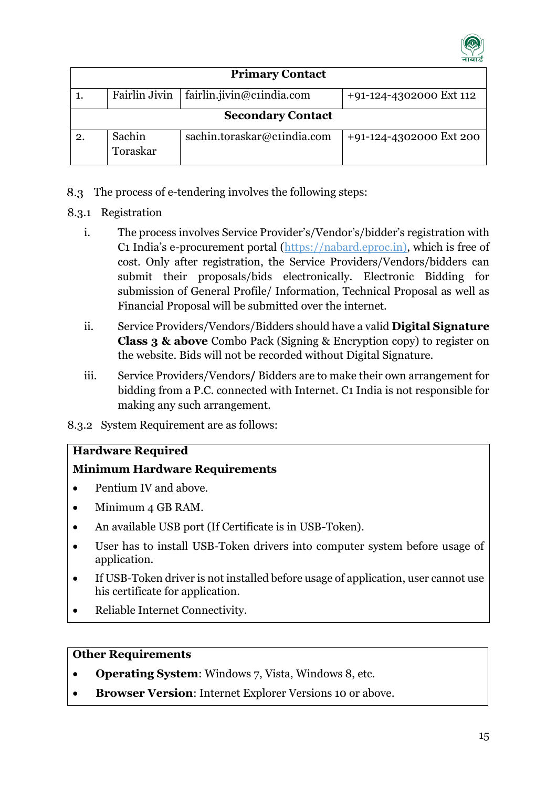

|    | <b>Primary Contact</b>   |                             |                         |  |  |  |  |  |  |
|----|--------------------------|-----------------------------|-------------------------|--|--|--|--|--|--|
|    | Fairlin Jivin            | fairlin.jivin@c1india.com   | +91-124-4302000 Ext 112 |  |  |  |  |  |  |
|    | <b>Secondary Contact</b> |                             |                         |  |  |  |  |  |  |
| 2. | Sachin<br>Toraskar       | sachin.toraskar@c1india.com | +91-124-4302000 Ext 200 |  |  |  |  |  |  |

- 8.3 The process of e-tendering involves the following steps:
- 8.3.1 Registration
	- i. The process involves Service Provider's/Vendor's/bidder's registration with C1 India's e-procurement portal [\(https://nabard.eproc.in\)](https://nabard.eproc.in/), which is free of cost. Only after registration, the Service Providers/Vendors/bidders can submit their proposals/bids electronically. Electronic Bidding for submission of General Profile/ Information, Technical Proposal as well as Financial Proposal will be submitted over the internet.
	- ii. Service Providers/Vendors/Bidders should have a valid **Digital Signature Class 3 & above** Combo Pack (Signing & Encryption copy) to register on the website. Bids will not be recorded without Digital Signature.
	- iii. Service Providers/Vendors**/** Bidders are to make their own arrangement for bidding from a P.C. connected with Internet. C1 India is not responsible for making any such arrangement.
- 8.3.2 System Requirement are as follows:

#### **Hardware Required**

# **Minimum Hardware Requirements**

- Pentium IV and above.
- Minimum 4 GB RAM.
- An available USB port (If Certificate is in USB-Token).
- User has to install USB-Token drivers into computer system before usage of application.
- If USB-Token driver is not installed before usage of application, user cannot use his certificate for application.
- Reliable Internet Connectivity.

#### **Other Requirements**

- **Operating System**: Windows 7, Vista, Windows 8, etc.
- **Browser Version**: Internet Explorer Versions 10 or above.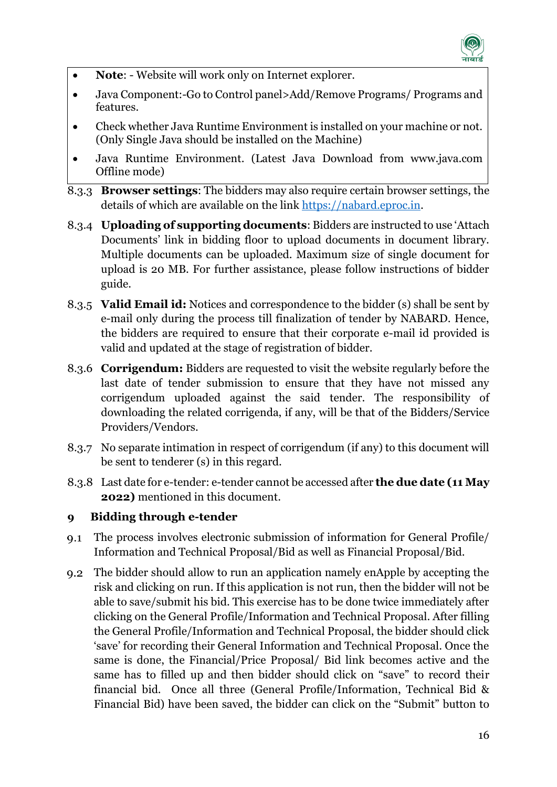

- **Note:** Website will work only on Internet explorer.
- Java Component:-Go to Control panel>Add/Remove Programs/ Programs and features.
- Check whether Java Runtime Environment is installed on your machine or not. (Only Single Java should be installed on the Machine)
- Java Runtime Environment. (Latest Java Download from www.java.com Offline mode)
- 8.3.3 **Browser settings**: The bidders may also require certain browser settings, the details of which are available on the link [https://nabard.eproc.in.](https://nabard.eproc.in/)
- 8.3.4 **Uploading of supporting documents**: Bidders are instructed to use 'Attach Documents' link in bidding floor to upload documents in document library. Multiple documents can be uploaded. Maximum size of single document for upload is 20 MB. For further assistance, please follow instructions of bidder guide.
- 8.3.5 **Valid Email id:** Notices and correspondence to the bidder (s) shall be sent by e-mail only during the process till finalization of tender by NABARD. Hence, the bidders are required to ensure that their corporate e-mail id provided is valid and updated at the stage of registration of bidder.
- 8.3.6 **Corrigendum:** Bidders are requested to visit the website regularly before the last date of tender submission to ensure that they have not missed any corrigendum uploaded against the said tender. The responsibility of downloading the related corrigenda, if any, will be that of the Bidders/Service Providers/Vendors.
- 8.3.7 No separate intimation in respect of corrigendum (if any) to this document will be sent to tenderer (s) in this regard.
- 8.3.8 Last date for e-tender: e-tender cannot be accessed after **the due date (11 May 2022)** mentioned in this document.

# <span id="page-15-0"></span>**9 Bidding through e-tender**

- The process involves electronic submission of information for General Profile/ Information and Technical Proposal/Bid as well as Financial Proposal/Bid.
- The bidder should allow to run an application namely enApple by accepting the risk and clicking on run. If this application is not run, then the bidder will not be able to save/submit his bid. This exercise has to be done twice immediately after clicking on the General Profile/Information and Technical Proposal. After filling the General Profile/Information and Technical Proposal, the bidder should click 'save' for recording their General Information and Technical Proposal. Once the same is done, the Financial/Price Proposal/ Bid link becomes active and the same has to filled up and then bidder should click on "save" to record their financial bid. Once all three (General Profile/Information, Technical Bid & Financial Bid) have been saved, the bidder can click on the "Submit" button to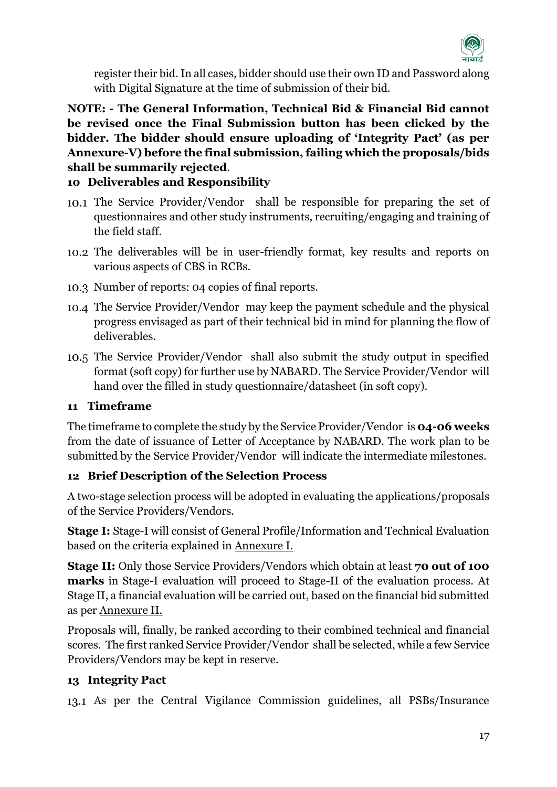

register their bid.In all cases, bidder should use their own ID and Password along with Digital Signature at the time of submission of their bid.

**NOTE: - The General Information, Technical Bid & Financial Bid cannot be revised once the Final Submission button has been clicked by the bidder. The bidder should ensure uploading of 'Integrity Pact' (as per Annexure-V) before the final submission, failing which the proposals/bids shall be summarily rejected**.

# <span id="page-16-0"></span>**10 Deliverables and Responsibility**

- The Service Provider/Vendor shall be responsible for preparing the set of questionnaires and other study instruments, recruiting/engaging and training of the field staff.
- The deliverables will be in user-friendly format, key results and reports on various aspects of CBS in RCBs.
- 10.3 Number of reports: 04 copies of final reports.
- The Service Provider/Vendor may keep the payment schedule and the physical progress envisaged as part of their technical bid in mind for planning the flow of deliverables.
- The Service Provider/Vendor shall also submit the study output in specified format (soft copy) for further use by NABARD. The Service Provider/Vendor will hand over the filled in study questionnaire/datasheet (in soft copy).

#### <span id="page-16-1"></span>**11 Timeframe**

The timeframe to complete the study by the Service Provider/Vendor is **04-06 weeks**  from the date of issuance of Letter of Acceptance by NABARD. The work plan to be submitted by the Service Provider/Vendor will indicate the intermediate milestones.

# <span id="page-16-2"></span>**12 Brief Description of the Selection Process**

A two-stage selection process will be adopted in evaluating the applications/proposals of the Service Providers/Vendors.

**Stage I:** Stage-I will consist of General Profile/Information and Technical Evaluation based on the criteria explained in Annexure I.

**Stage II:** Only those Service Providers/Vendors which obtain at least **70 out of 100 marks** in Stage-I evaluation will proceed to Stage-II of the evaluation process. At Stage II, a financial evaluation will be carried out, based on the financial bid submitted as per Annexure II.

Proposals will, finally, be ranked according to their combined technical and financial scores. The first ranked Service Provider/Vendor shall be selected, while a few Service Providers/Vendors may be kept in reserve.

# <span id="page-16-3"></span>**13 Integrity Pact**

As per the Central Vigilance Commission guidelines, all PSBs/Insurance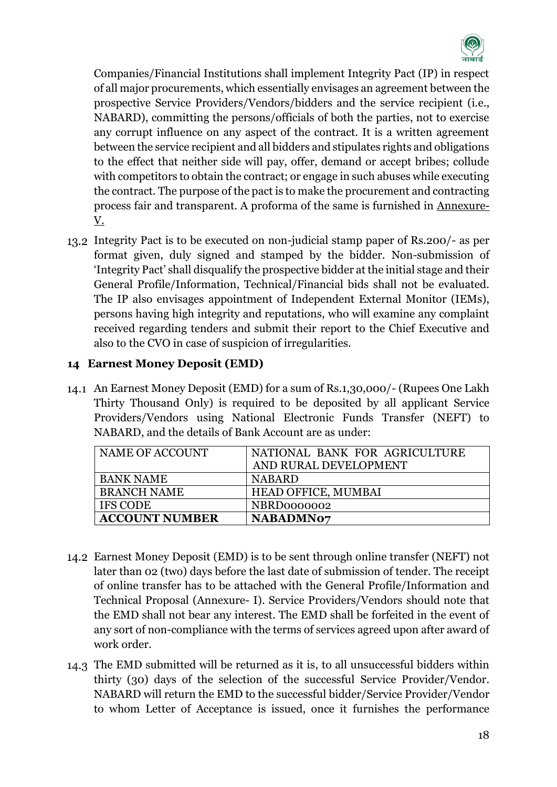

Companies/Financial Institutions shall implement Integrity Pact (IP) in respect of all major procurements, which essentially envisages an agreement between the prospective Service Providers/Vendors/bidders and the service recipient (i.e., NABARD), committing the persons/officials of both the parties, not to exercise any corrupt influence on any aspect of the contract. It is a written agreement between the service recipient and all bidders and stipulates rights and obligations to the effect that neither side will pay, offer, demand or accept bribes; collude with competitors to obtain the contract; or engage in such abuses while executing the contract. The purpose of the pact is to make the procurement and contracting process fair and transparent. A proforma of the same is furnished in Annexure-V.

Integrity Pact is to be executed on non-judicial stamp paper of Rs.200/- as per format given, duly signed and stamped by the bidder. Non-submission of 'Integrity Pact' shall disqualify the prospective bidder at the initial stage and their General Profile/Information, Technical/Financial bids shall not be evaluated. The IP also envisages appointment of Independent External Monitor (IEMs), persons having high integrity and reputations, who will examine any complaint received regarding tenders and submit their report to the Chief Executive and also to the CVO in case of suspicion of irregularities.

#### <span id="page-17-0"></span>**14 Earnest Money Deposit (EMD)**

An Earnest Money Deposit (EMD) for a sum of Rs.1,30,000/- (Rupees One Lakh Thirty Thousand Only) is required to be deposited by all applicant Service Providers/Vendors using National Electronic Funds Transfer (NEFT) to NABARD, and the details of Bank Account are as under:

| NAME OF ACCOUNT       | NATIONAL BANK FOR AGRICULTURE<br>AND RURAL DEVELOPMENT |
|-----------------------|--------------------------------------------------------|
| <b>BANK NAME</b>      | <b>NABARD</b>                                          |
| <b>BRANCH NAME</b>    | <b>HEAD OFFICE, MUMBAI</b>                             |
| <b>IFS CODE</b>       | NBRD0000002                                            |
| <b>ACCOUNT NUMBER</b> | <b>NABADMN07</b>                                       |

- Earnest Money Deposit (EMD) is to be sent through online transfer (NEFT) not later than 02 (two) days before the last date of submission of tender. The receipt of online transfer has to be attached with the General Profile/Information and Technical Proposal (Annexure- I). Service Providers/Vendors should note that the EMD shall not bear any interest. The EMD shall be forfeited in the event of any sort of non-compliance with the terms of services agreed upon after award of work order.
- The EMD submitted will be returned as it is, to all unsuccessful bidders within thirty (30) days of the selection of the successful Service Provider/Vendor. NABARD will return the EMD to the successful bidder/Service Provider/Vendor to whom Letter of Acceptance is issued, once it furnishes the performance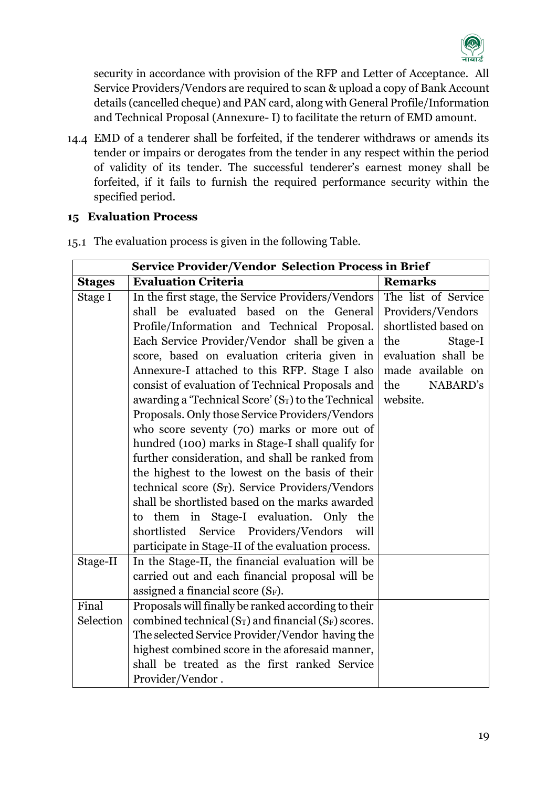

security in accordance with provision of the RFP and Letter of Acceptance. All Service Providers/Vendors are required to scan & upload a copy of Bank Account details (cancelled cheque) and PAN card, along with General Profile/Information and Technical Proposal (Annexure- I) to facilitate the return of EMD amount.

EMD of a tenderer shall be forfeited, if the tenderer withdraws or amends its tender or impairs or derogates from the tender in any respect within the period of validity of its tender. The successful tenderer's earnest money shall be forfeited, if it fails to furnish the required performance security within the specified period.

#### <span id="page-18-0"></span>**15 Evaluation Process**

|               | <b>Service Provider/Vendor Selection Process in Brief</b>                    |                      |
|---------------|------------------------------------------------------------------------------|----------------------|
| <b>Stages</b> | <b>Evaluation Criteria</b>                                                   | <b>Remarks</b>       |
| Stage I       | In the first stage, the Service Providers/Vendors                            | The list of Service  |
|               | shall be evaluated based on the General                                      | Providers/Vendors    |
|               | Profile/Information and Technical Proposal.                                  | shortlisted based on |
|               | Each Service Provider/Vendor shall be given a                                | the<br>Stage-I       |
|               | score, based on evaluation criteria given in                                 | evaluation shall be  |
|               | Annexure-I attached to this RFP. Stage I also                                | made available on    |
|               | consist of evaluation of Technical Proposals and                             | the<br>NABARD's      |
|               | awarding a 'Technical Score' (ST) to the Technical                           | website.             |
|               | Proposals. Only those Service Providers/Vendors                              |                      |
|               | who score seventy (70) marks or more out of                                  |                      |
|               | hundred (100) marks in Stage-I shall qualify for                             |                      |
|               | further consideration, and shall be ranked from                              |                      |
|               | the highest to the lowest on the basis of their                              |                      |
|               | technical score (S <sub>T</sub> ). Service Providers/Vendors                 |                      |
|               | shall be shortlisted based on the marks awarded                              |                      |
|               | to them in Stage-I evaluation. Only the                                      |                      |
|               | shortlisted Service Providers/Vendors<br>will                                |                      |
|               | participate in Stage-II of the evaluation process.                           |                      |
| Stage-II      | In the Stage-II, the financial evaluation will be                            |                      |
|               | carried out and each financial proposal will be                              |                      |
|               | assigned a financial score (SF).                                             |                      |
| Final         | Proposals will finally be ranked according to their                          |                      |
| Selection     | combined technical (S <sub>T</sub> ) and financial (S <sub>F</sub> ) scores. |                      |
|               | The selected Service Provider/Vendor having the                              |                      |
|               | highest combined score in the aforesaid manner,                              |                      |
|               | shall be treated as the first ranked Service                                 |                      |
|               | Provider/Vendor.                                                             |                      |

The evaluation process is given in the following Table.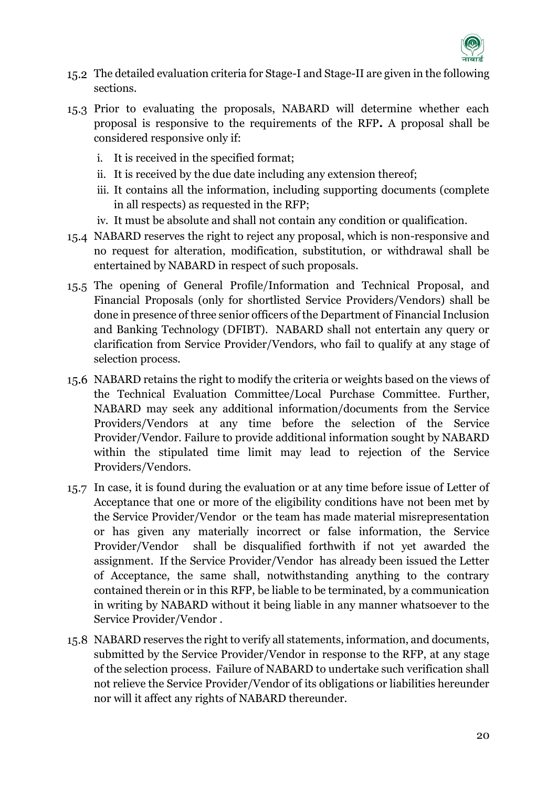

- The detailed evaluation criteria for Stage-I and Stage-II are given in the following sections.
- 15.3 Prior to evaluating the proposals, NABARD will determine whether each proposal is responsive to the requirements of the RFP**.** A proposal shall be considered responsive only if:
	- i. It is received in the specified format;
	- ii. It is received by the due date including any extension thereof;
	- iii. It contains all the information, including supporting documents (complete in all respects) as requested in the RFP;
	- iv. It must be absolute and shall not contain any condition or qualification.
- NABARD reserves the right to reject any proposal, which is non-responsive and no request for alteration, modification, substitution, or withdrawal shall be entertained by NABARD in respect of such proposals.
- The opening of General Profile/Information and Technical Proposal, and Financial Proposals (only for shortlisted Service Providers/Vendors) shall be done in presence of three senior officers of the Department of Financial Inclusion and Banking Technology (DFIBT). NABARD shall not entertain any query or clarification from Service Provider/Vendors, who fail to qualify at any stage of selection process.
- NABARD retains the right to modify the criteria or weights based on the views of the Technical Evaluation Committee/Local Purchase Committee. Further, NABARD may seek any additional information/documents from the Service Providers/Vendors at any time before the selection of the Service Provider/Vendor. Failure to provide additional information sought by NABARD within the stipulated time limit may lead to rejection of the Service Providers/Vendors.
- In case, it is found during the evaluation or at any time before issue of Letter of Acceptance that one or more of the eligibility conditions have not been met by the Service Provider/Vendor or the team has made material misrepresentation or has given any materially incorrect or false information, the Service Provider/Vendor shall be disqualified forthwith if not yet awarded the assignment. If the Service Provider/Vendor has already been issued the Letter of Acceptance, the same shall, notwithstanding anything to the contrary contained therein or in this RFP, be liable to be terminated, by a communication in writing by NABARD without it being liable in any manner whatsoever to the Service Provider/Vendor .
- 15.8 NABARD reserves the right to verify all statements, information, and documents, submitted by the Service Provider/Vendor in response to the RFP, at any stage of the selection process. Failure of NABARD to undertake such verification shall not relieve the Service Provider/Vendor of its obligations or liabilities hereunder nor will it affect any rights of NABARD thereunder.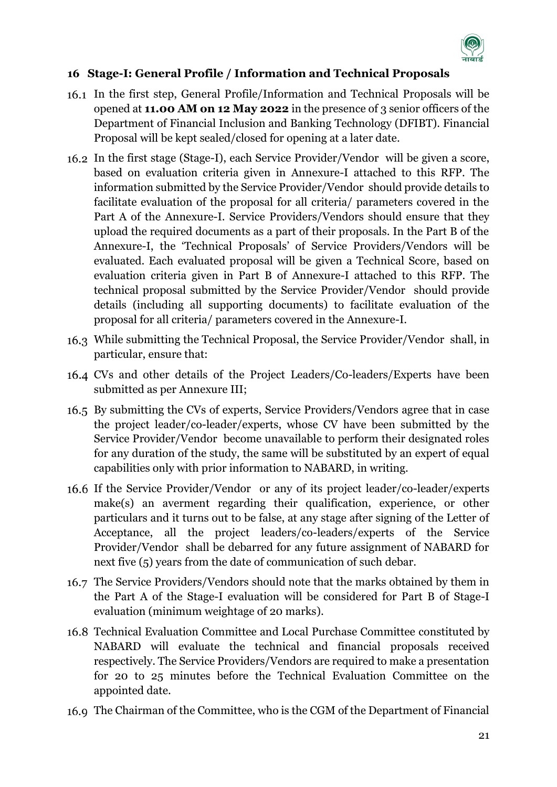

# <span id="page-20-0"></span>**16 Stage-I: General Profile / Information and Technical Proposals**

- In the first step, General Profile/Information and Technical Proposals will be opened at **11.00 AM on 12 May 2022** in the presence of 3 senior officers of the Department of Financial Inclusion and Banking Technology (DFIBT). Financial Proposal will be kept sealed/closed for opening at a later date.
- In the first stage (Stage-I), each Service Provider/Vendor will be given a score, based on evaluation criteria given in Annexure-I attached to this RFP. The information submitted by the Service Provider/Vendor should provide details to facilitate evaluation of the proposal for all criteria/ parameters covered in the Part A of the Annexure-I. Service Providers/Vendors should ensure that they upload the required documents as a part of their proposals. In the Part B of the Annexure-I, the 'Technical Proposals' of Service Providers/Vendors will be evaluated. Each evaluated proposal will be given a Technical Score, based on evaluation criteria given in Part B of Annexure-I attached to this RFP. The technical proposal submitted by the Service Provider/Vendor should provide details (including all supporting documents) to facilitate evaluation of the proposal for all criteria/ parameters covered in the Annexure-I.
- While submitting the Technical Proposal, the Service Provider/Vendor shall, in particular, ensure that:
- CVs and other details of the Project Leaders/Co-leaders/Experts have been submitted as per Annexure III;
- By submitting the CVs of experts, Service Providers/Vendors agree that in case the project leader/co-leader/experts, whose CV have been submitted by the Service Provider/Vendor become unavailable to perform their designated roles for any duration of the study, the same will be substituted by an expert of equal capabilities only with prior information to NABARD, in writing.
- If the Service Provider/Vendor or any of its project leader/co-leader/experts make(s) an averment regarding their qualification, experience, or other particulars and it turns out to be false, at any stage after signing of the Letter of Acceptance, all the project leaders/co-leaders/experts of the Service Provider/Vendor shall be debarred for any future assignment of NABARD for next five (5) years from the date of communication of such debar.
- 16.7 The Service Providers/Vendors should note that the marks obtained by them in the Part A of the Stage-I evaluation will be considered for Part B of Stage-I evaluation (minimum weightage of 20 marks).
- Technical Evaluation Committee and Local Purchase Committee constituted by NABARD will evaluate the technical and financial proposals received respectively. The Service Providers/Vendors are required to make a presentation for 20 to 25 minutes before the Technical Evaluation Committee on the appointed date.
- 16.9 The Chairman of the Committee, who is the CGM of the Department of Financial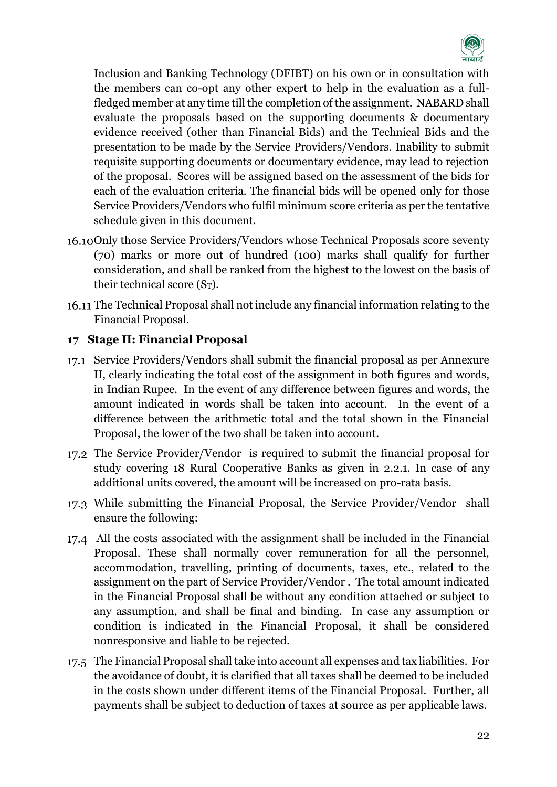

Inclusion and Banking Technology (DFIBT) on his own or in consultation with the members can co-opt any other expert to help in the evaluation as a fullfledged member at any time till the completion of the assignment. NABARD shall evaluate the proposals based on the supporting documents & documentary evidence received (other than Financial Bids) and the Technical Bids and the presentation to be made by the Service Providers/Vendors. Inability to submit requisite supporting documents or documentary evidence, may lead to rejection of the proposal. Scores will be assigned based on the assessment of the bids for each of the evaluation criteria. The financial bids will be opened only for those Service Providers/Vendors who fulfil minimum score criteria as per the tentative schedule given in this document.

- 16.10 Only those Service Providers/Vendors whose Technical Proposals score seventy (70) marks or more out of hundred (100) marks shall qualify for further consideration, and shall be ranked from the highest to the lowest on the basis of their technical score (ST).
- The Technical Proposal shall not include any financial information relating to the Financial Proposal.

#### <span id="page-21-0"></span>**17 Stage II: Financial Proposal**

- 17.1 Service Providers/Vendors shall submit the financial proposal as per Annexure II, clearly indicating the total cost of the assignment in both figures and words, in Indian Rupee. In the event of any difference between figures and words, the amount indicated in words shall be taken into account. In the event of a difference between the arithmetic total and the total shown in the Financial Proposal, the lower of the two shall be taken into account.
- The Service Provider/Vendor is required to submit the financial proposal for study covering 18 Rural Cooperative Banks as given in 2.2.1. In case of any additional units covered, the amount will be increased on pro-rata basis.
- 17.3 While submitting the Financial Proposal, the Service Provider/Vendor shall ensure the following:
- All the costs associated with the assignment shall be included in the Financial Proposal. These shall normally cover remuneration for all the personnel, accommodation, travelling, printing of documents, taxes, etc., related to the assignment on the part of Service Provider/Vendor . The total amount indicated in the Financial Proposal shall be without any condition attached or subject to any assumption, and shall be final and binding. In case any assumption or condition is indicated in the Financial Proposal, it shall be considered nonresponsive and liable to be rejected.
- The Financial Proposal shall take into account all expenses and tax liabilities. For the avoidance of doubt, it is clarified that all taxes shall be deemed to be included in the costs shown under different items of the Financial Proposal. Further, all payments shall be subject to deduction of taxes at source as per applicable laws.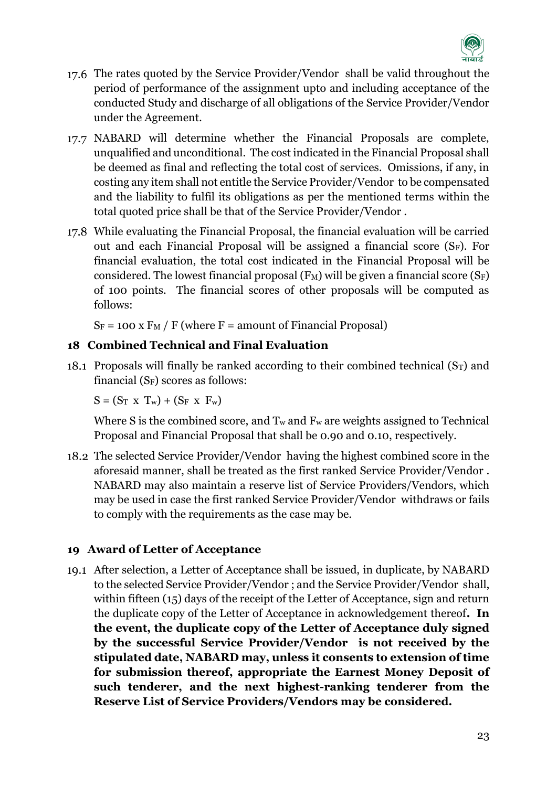

- 17.6 The rates quoted by the Service Provider/Vendor shall be valid throughout the period of performance of the assignment upto and including acceptance of the conducted Study and discharge of all obligations of the Service Provider/Vendor under the Agreement.
- NABARD will determine whether the Financial Proposals are complete, unqualified and unconditional. The cost indicated in the Financial Proposal shall be deemed as final and reflecting the total cost of services. Omissions, if any, in costing any item shall not entitle the Service Provider/Vendor to be compensated and the liability to fulfil its obligations as per the mentioned terms within the total quoted price shall be that of the Service Provider/Vendor .
- While evaluating the Financial Proposal, the financial evaluation will be carried out and each Financial Proposal will be assigned a financial score (SF). For financial evaluation, the total cost indicated in the Financial Proposal will be considered. The lowest financial proposal  $(F_M)$  will be given a financial score  $(S_F)$ of 100 points. The financial scores of other proposals will be computed as follows:

 $S_F = 100 \text{ x F}$  / F (where F = amount of Financial Proposal)

# <span id="page-22-0"></span>**18 Combined Technical and Final Evaluation**

18.1 Proposals will finally be ranked according to their combined technical  $(S_T)$  and financial  $(S_F)$  scores as follows:

 $S = (S_T \times T_w) + (S_F \times F_w)$ 

Where S is the combined score, and  $T_w$  and  $F_w$  are weights assigned to Technical Proposal and Financial Proposal that shall be 0.90 and 0.10, respectively.

The selected Service Provider/Vendor having the highest combined score in the aforesaid manner, shall be treated as the first ranked Service Provider/Vendor . NABARD may also maintain a reserve list of Service Providers/Vendors, which may be used in case the first ranked Service Provider/Vendor withdraws or fails to comply with the requirements as the case may be.

# <span id="page-22-1"></span>**19 Award of Letter of Acceptance**

After selection, a Letter of Acceptance shall be issued, in duplicate, by NABARD to the selected Service Provider/Vendor ; and the Service Provider/Vendor shall, within fifteen (15) days of the receipt of the Letter of Acceptance, sign and return the duplicate copy of the Letter of Acceptance in acknowledgement thereof**. In the event, the duplicate copy of the Letter of Acceptance duly signed by the successful Service Provider/Vendor is not received by the stipulated date, NABARD may, unless it consents to extension of time for submission thereof, appropriate the Earnest Money Deposit of such tenderer, and the next highest-ranking tenderer from the Reserve List of Service Providers/Vendors may be considered.**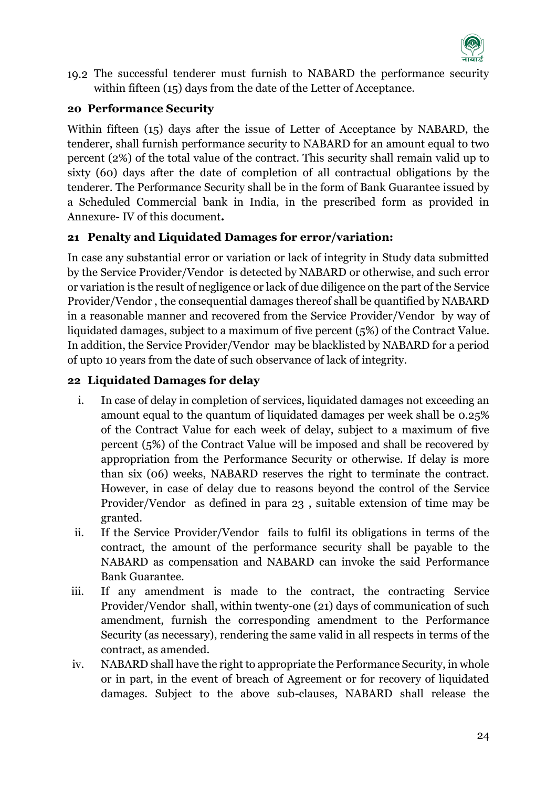

The successful tenderer must furnish to NABARD the performance security within fifteen (15) days from the date of the Letter of Acceptance.

# <span id="page-23-0"></span>**20 Performance Security**

Within fifteen (15) days after the issue of Letter of Acceptance by NABARD, the tenderer, shall furnish performance security to NABARD for an amount equal to two percent (2%) of the total value of the contract. This security shall remain valid up to sixty (60) days after the date of completion of all contractual obligations by the tenderer. The Performance Security shall be in the form of Bank Guarantee issued by a Scheduled Commercial bank in India, in the prescribed form as provided in Annexure- IV of this document**.** 

# <span id="page-23-1"></span>**21 Penalty and Liquidated Damages for error/variation:**

In case any substantial error or variation or lack of integrity in Study data submitted by the Service Provider/Vendor is detected by NABARD or otherwise, and such error or variation is the result of negligence or lack of due diligence on the part of the Service Provider/Vendor , the consequential damages thereof shall be quantified by NABARD in a reasonable manner and recovered from the Service Provider/Vendor by way of liquidated damages, subject to a maximum of five percent (5%) of the Contract Value. In addition, the Service Provider/Vendor may be blacklisted by NABARD for a period of upto 10 years from the date of such observance of lack of integrity.

# <span id="page-23-2"></span>**22 Liquidated Damages for delay**

- i. In case of delay in completion of services, liquidated damages not exceeding an amount equal to the quantum of liquidated damages per week shall be 0.25% of the Contract Value for each week of delay, subject to a maximum of five percent (5%) of the Contract Value will be imposed and shall be recovered by appropriation from the Performance Security or otherwise. If delay is more than six (06) weeks, NABARD reserves the right to terminate the contract. However, in case of delay due to reasons beyond the control of the Service Provider/Vendor as defined in para 23 , suitable extension of time may be granted.
- ii. If the Service Provider/Vendor fails to fulfil its obligations in terms of the contract, the amount of the performance security shall be payable to the NABARD as compensation and NABARD can invoke the said Performance Bank Guarantee.
- iii. If any amendment is made to the contract, the contracting Service Provider/Vendor shall, within twenty-one (21) days of communication of such amendment, furnish the corresponding amendment to the Performance Security (as necessary), rendering the same valid in all respects in terms of the contract, as amended.
- iv. NABARD shall have the right to appropriate the Performance Security, in whole or in part, in the event of breach of Agreement or for recovery of liquidated damages. Subject to the above sub-clauses, NABARD shall release the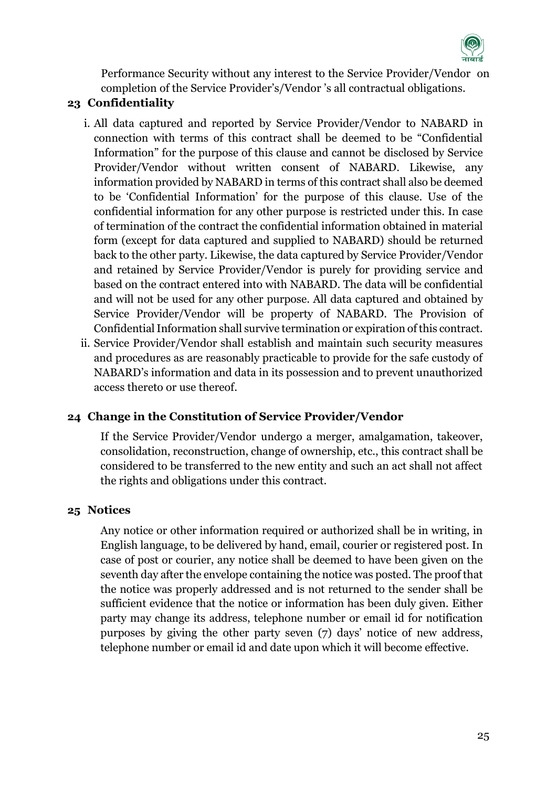

Performance Security without any interest to the Service Provider/Vendor on completion of the Service Provider's/Vendor 's all contractual obligations.

### <span id="page-24-0"></span>**23 Confidentiality**

- i. All data captured and reported by Service Provider/Vendor to NABARD in connection with terms of this contract shall be deemed to be "Confidential Information" for the purpose of this clause and cannot be disclosed by Service Provider/Vendor without written consent of NABARD. Likewise, any information provided by NABARD in terms of this contract shall also be deemed to be 'Confidential Information' for the purpose of this clause. Use of the confidential information for any other purpose is restricted under this. In case of termination of the contract the confidential information obtained in material form (except for data captured and supplied to NABARD) should be returned back to the other party. Likewise, the data captured by Service Provider/Vendor and retained by Service Provider/Vendor is purely for providing service and based on the contract entered into with NABARD. The data will be confidential and will not be used for any other purpose. All data captured and obtained by Service Provider/Vendor will be property of NABARD. The Provision of Confidential Information shall survive termination or expiration of this contract.
- ii. Service Provider/Vendor shall establish and maintain such security measures and procedures as are reasonably practicable to provide for the safe custody of NABARD's information and data in its possession and to prevent unauthorized access thereto or use thereof.

#### <span id="page-24-1"></span>**24 Change in the Constitution of Service Provider/Vendor**

If the Service Provider/Vendor undergo a merger, amalgamation, takeover, consolidation, reconstruction, change of ownership, etc., this contract shall be considered to be transferred to the new entity and such an act shall not affect the rights and obligations under this contract.

#### <span id="page-24-2"></span>**25 Notices**

Any notice or other information required or authorized shall be in writing, in English language, to be delivered by hand, email, courier or registered post. In case of post or courier, any notice shall be deemed to have been given on the seventh day after the envelope containing the notice was posted. The proof that the notice was properly addressed and is not returned to the sender shall be sufficient evidence that the notice or information has been duly given. Either party may change its address, telephone number or email id for notification purposes by giving the other party seven (7) days' notice of new address, telephone number or email id and date upon which it will become effective.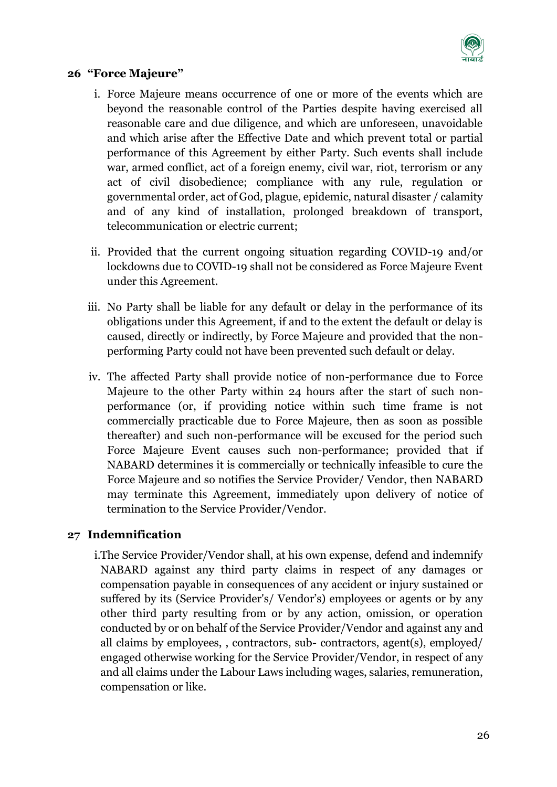

#### <span id="page-25-0"></span>**26 "Force Majeure"**

- i. Force Majeure means occurrence of one or more of the events which are beyond the reasonable control of the Parties despite having exercised all reasonable care and due diligence, and which are unforeseen, unavoidable and which arise after the Effective Date and which prevent total or partial performance of this Agreement by either Party. Such events shall include war, armed conflict, act of a foreign enemy, civil war, riot, terrorism or any act of civil disobedience; compliance with any rule, regulation or governmental order, act of God, plague, epidemic, natural disaster / calamity and of any kind of installation, prolonged breakdown of transport, telecommunication or electric current;
- ii. Provided that the current ongoing situation regarding COVID-19 and/or lockdowns due to COVID-19 shall not be considered as Force Majeure Event under this Agreement.
- iii. No Party shall be liable for any default or delay in the performance of its obligations under this Agreement, if and to the extent the default or delay is caused, directly or indirectly, by Force Majeure and provided that the nonperforming Party could not have been prevented such default or delay.
- iv. The affected Party shall provide notice of non-performance due to Force Majeure to the other Party within 24 hours after the start of such nonperformance (or, if providing notice within such time frame is not commercially practicable due to Force Majeure, then as soon as possible thereafter) and such non-performance will be excused for the period such Force Majeure Event causes such non-performance; provided that if NABARD determines it is commercially or technically infeasible to cure the Force Majeure and so notifies the Service Provider/ Vendor, then NABARD may terminate this Agreement, immediately upon delivery of notice of termination to the Service Provider/Vendor.

#### <span id="page-25-1"></span>**27 Indemnification**

i.The Service Provider/Vendor shall, at his own expense, defend and indemnify NABARD against any third party claims in respect of any damages or compensation payable in consequences of any accident or injury sustained or suffered by its (Service Provider's/ Vendor's) employees or agents or by any other third party resulting from or by any action, omission, or operation conducted by or on behalf of the Service Provider/Vendor and against any and all claims by employees, , contractors, sub- contractors, agent(s), employed/ engaged otherwise working for the Service Provider/Vendor, in respect of any and all claims under the Labour Laws including wages, salaries, remuneration, compensation or like.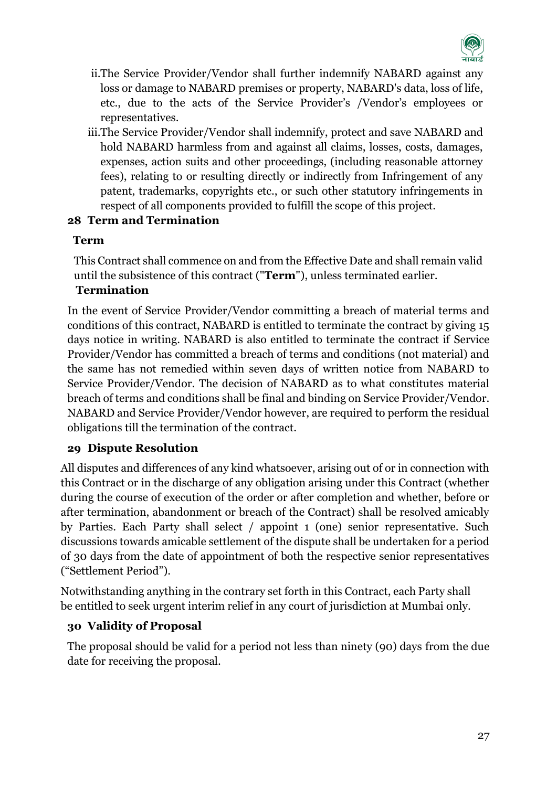

- ii.The Service Provider/Vendor shall further indemnify NABARD against any loss or damage to NABARD premises or property, NABARD's data, loss of life, etc., due to the acts of the Service Provider's /Vendor's employees or representatives.
- iii.The Service Provider/Vendor shall indemnify, protect and save NABARD and hold NABARD harmless from and against all claims, losses, costs, damages, expenses, action suits and other proceedings, (including reasonable attorney fees), relating to or resulting directly or indirectly from Infringement of any patent, trademarks, copyrights etc., or such other statutory infringements in respect of all components provided to fulfill the scope of this project.

#### <span id="page-26-0"></span>**28 Term and Termination**

# **Term**

This Contract shall commence on and from the Effective Date and shall remain valid until the subsistence of this contract ("**Term**"), unless terminated earlier.

# **Termination**

In the event of Service Provider/Vendor committing a breach of material terms and conditions of this contract, NABARD is entitled to terminate the contract by giving 15 days notice in writing. NABARD is also entitled to terminate the contract if Service Provider/Vendor has committed a breach of terms and conditions (not material) and the same has not remedied within seven days of written notice from NABARD to Service Provider/Vendor. The decision of NABARD as to what constitutes material breach of terms and conditions shall be final and binding on Service Provider/Vendor. NABARD and Service Provider/Vendor however, are required to perform the residual obligations till the termination of the contract.

# <span id="page-26-1"></span>**29 Dispute Resolution**

All disputes and differences of any kind whatsoever, arising out of or in connection with this Contract or in the discharge of any obligation arising under this Contract (whether during the course of execution of the order or after completion and whether, before or after termination, abandonment or breach of the Contract) shall be resolved amicably by Parties. Each Party shall select / appoint 1 (one) senior representative. Such discussions towards amicable settlement of the dispute shall be undertaken for a period of 30 days from the date of appointment of both the respective senior representatives ("Settlement Period").

Notwithstanding anything in the contrary set forth in this Contract, each Party shall be entitled to seek urgent interim relief in any court of jurisdiction at Mumbai only.

# <span id="page-26-2"></span>**30 Validity of Proposal**

The proposal should be valid for a period not less than ninety (90) days from the due date for receiving the proposal.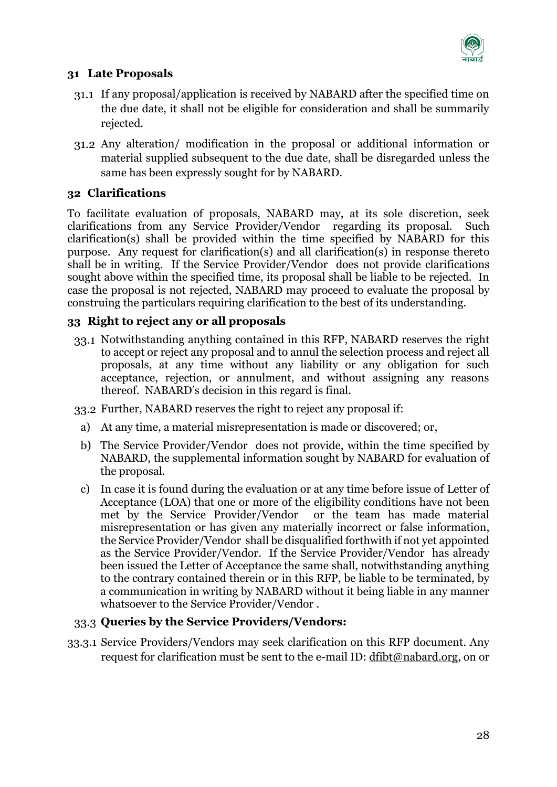

#### <span id="page-27-0"></span>**31 Late Proposals**

- If any proposal/application is received by NABARD after the specified time on the due date, it shall not be eligible for consideration and shall be summarily rejected.
- Any alteration/ modification in the proposal or additional information or material supplied subsequent to the due date, shall be disregarded unless the same has been expressly sought for by NABARD.

### <span id="page-27-1"></span>**32 Clarifications**

To facilitate evaluation of proposals, NABARD may, at its sole discretion, seek clarifications from any Service Provider/Vendor regarding its proposal. Such clarification(s) shall be provided within the time specified by NABARD for this purpose. Any request for clarification(s) and all clarification(s) in response thereto shall be in writing. If the Service Provider/Vendor does not provide clarifications sought above within the specified time, its proposal shall be liable to be rejected. In case the proposal is not rejected, NABARD may proceed to evaluate the proposal by construing the particulars requiring clarification to the best of its understanding.

# <span id="page-27-2"></span>**33 Right to reject any or all proposals**

33.1 Notwithstanding anything contained in this RFP, NABARD reserves the right to accept or reject any proposal and to annul the selection process and reject all proposals, at any time without any liability or any obligation for such acceptance, rejection, or annulment, and without assigning any reasons thereof. NABARD's decision in this regard is final.

Further, NABARD reserves the right to reject any proposal if:

- a) At any time, a material misrepresentation is made or discovered; or,
- b) The Service Provider/Vendor does not provide, within the time specified by NABARD, the supplemental information sought by NABARD for evaluation of the proposal.
- c) In case it is found during the evaluation or at any time before issue of Letter of Acceptance (LOA) that one or more of the eligibility conditions have not been met by the Service Provider/Vendor or the team has made material misrepresentation or has given any materially incorrect or false information, the Service Provider/Vendor shall be disqualified forthwith if not yet appointed as the Service Provider/Vendor. If the Service Provider/Vendor has already been issued the Letter of Acceptance the same shall, notwithstanding anything to the contrary contained therein or in this RFP, be liable to be terminated, by a communication in writing by NABARD without it being liable in any manner whatsoever to the Service Provider/Vendor .

#### **Queries by the Service Providers/Vendors:**

33.3.1 Service Providers/Vendors may seek clarification on this RFP document. Any request for clarification must be sent to the e-mail ID: [dfibt@nabard.org,](mailto:dfibt@nabard.org) on or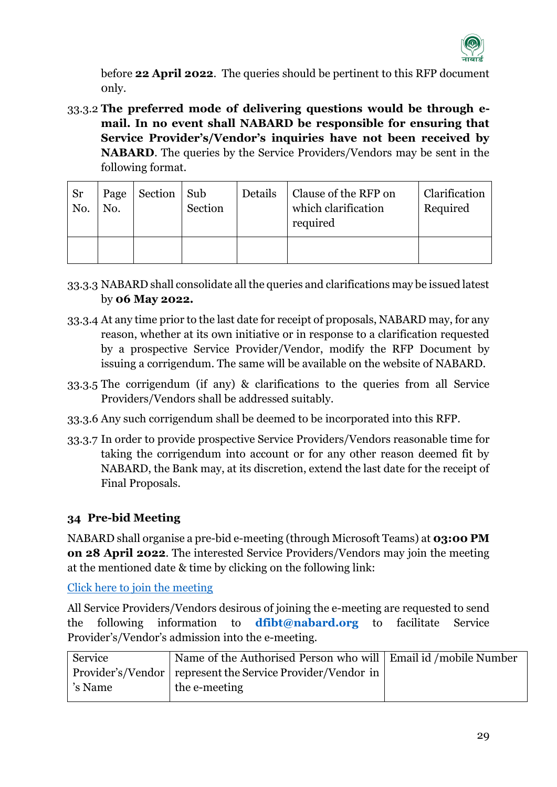

before **22 April 2022**. The queries should be pertinent to this RFP document 0nly.

33.3.2 **The preferred mode of delivering questions would be through email. In no event shall NABARD be responsible for ensuring that Service Provider's/Vendor's inquiries have not been received by NABARD**. The queries by the Service Providers/Vendors may be sent in the following format.

| <b>Sr</b><br>No. | Page<br>No. | Section | Sub<br>Section | Details | Clause of the RFP on<br>which clarification<br>required | Clarification<br>Required |
|------------------|-------------|---------|----------------|---------|---------------------------------------------------------|---------------------------|
|                  |             |         |                |         |                                                         |                           |

- 33.3.3 NABARD shall consolidate all the queries and clarifications may be issued latest by **06 May 2022.**
- 33.3.4 At any time prior to the last date for receipt of proposals, NABARD may, for any reason, whether at its own initiative or in response to a clarification requested by a prospective Service Provider/Vendor, modify the RFP Document by issuing a corrigendum. The same will be available on the website of NABARD.
- 33.3.5 The corrigendum (if any) & clarifications to the queries from all Service Providers/Vendors shall be addressed suitably.
- 33.3.6 Any such corrigendum shall be deemed to be incorporated into this RFP.
- 33.3.7 In order to provide prospective Service Providers/Vendors reasonable time for taking the corrigendum into account or for any other reason deemed fit by NABARD, the Bank may, at its discretion, extend the last date for the receipt of Final Proposals.

#### <span id="page-28-0"></span>**34 Pre-bid Meeting**

NABARD shall organise a pre-bid e-meeting (through Microsoft Teams) at **03:00 PM on 28 April 2022**. The interested Service Providers/Vendors may join the meeting at the mentioned date & time by clicking on the following link:

[Click here to join the meeting](https://teams.microsoft.com/l/meetup-join/19%3ameeting_NTk2MmU2YjctNTEzYy00ODE5LTliOTAtYTE0ZGIxOGJjMDI3%40thread.v2/0?context=%7b%22Tid%22%3a%228e65dc63-2925-44dc-9c02-98c3f05069ec%22%2c%22Oid%22%3a%22d793b1a4-df52-441f-87d2-d84ffd567e12%22%7d)

All Service Providers/Vendors desirous of joining the e-meeting are requested to send the following information to **[dfibt@nabard.org](mailto:dfibt@nabard.org)** to facilitate Service Provider's/Vendor's admission into the e-meeting.

| Service | Name of the Authorised Person who will   Email id / mobile Number |  |
|---------|-------------------------------------------------------------------|--|
|         | Provider's/Vendor represent the Service Provider/Vendor in        |  |
| 's Name | the e-meeting                                                     |  |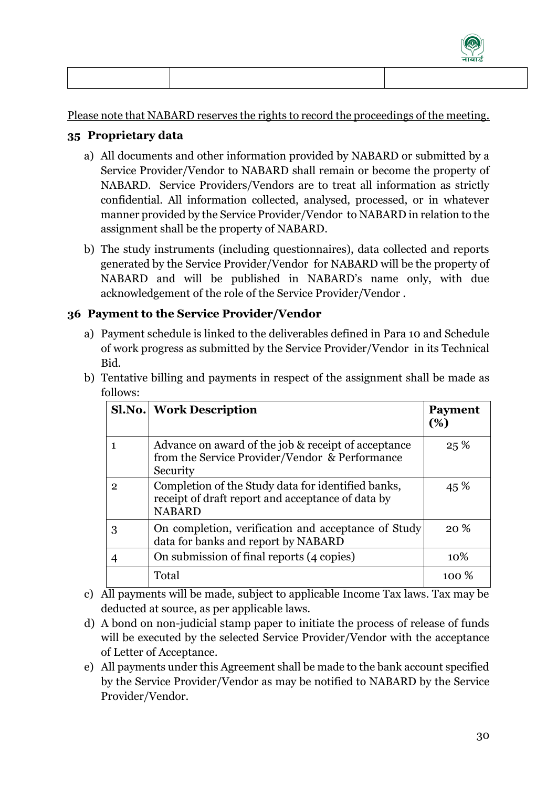

Please note that NABARD reserves the rights to record the proceedings of the meeting.

### <span id="page-29-0"></span>**35 Proprietary data**

- a) All documents and other information provided by NABARD or submitted by a Service Provider/Vendor to NABARD shall remain or become the property of NABARD. Service Providers/Vendors are to treat all information as strictly confidential. All information collected, analysed, processed, or in whatever manner provided by the Service Provider/Vendor to NABARD in relation to the assignment shall be the property of NABARD.
- b) The study instruments (including questionnaires), data collected and reports generated by the Service Provider/Vendor for NABARD will be the property of NABARD and will be published in NABARD's name only, with due acknowledgement of the role of the Service Provider/Vendor .

# <span id="page-29-1"></span>**36 Payment to the Service Provider/Vendor**

a) Payment schedule is linked to the deliverables defined in Para 10 and Schedule of work progress as submitted by the Service Provider/Vendor in its Technical Bid.

|   | <b>Sl.No.</b> Work Description                                                                                           | <b>Payment</b><br>(%) |
|---|--------------------------------------------------------------------------------------------------------------------------|-----------------------|
| 1 | Advance on award of the job & receipt of acceptance<br>from the Service Provider/Vendor & Performance<br>Security        | 25%                   |
| 2 | Completion of the Study data for identified banks,<br>receipt of draft report and acceptance of data by<br><b>NABARD</b> | 45 %                  |
| 3 | On completion, verification and acceptance of Study<br>data for banks and report by NABARD                               | 20 <sup>%</sup>       |
|   | On submission of final reports (4 copies)                                                                                | 10\%                  |
|   | Total                                                                                                                    | $100\%$               |

b) Tentative billing and payments in respect of the assignment shall be made as follows:

- c) All payments will be made, subject to applicable Income Tax laws. Tax may be deducted at source, as per applicable laws.
- d) A bond on non-judicial stamp paper to initiate the process of release of funds will be executed by the selected Service Provider/Vendor with the acceptance of Letter of Acceptance.
- e) All payments under this Agreement shall be made to the bank account specified by the Service Provider/Vendor as may be notified to NABARD by the Service Provider/Vendor.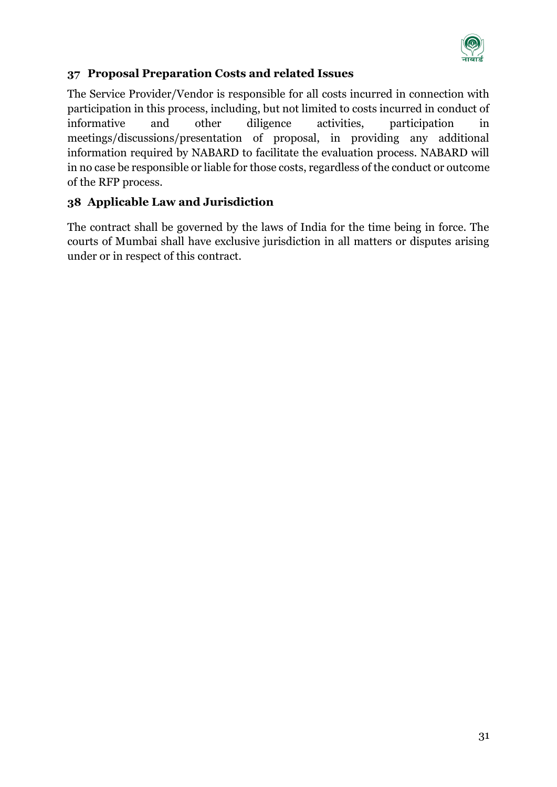

# <span id="page-30-0"></span>**37 Proposal Preparation Costs and related Issues**

The Service Provider/Vendor is responsible for all costs incurred in connection with participation in this process, including, but not limited to costs incurred in conduct of informative and other diligence activities, participation in meetings/discussions/presentation of proposal, in providing any additional information required by NABARD to facilitate the evaluation process. NABARD will in no case be responsible or liable for those costs, regardless of the conduct or outcome of the RFP process.

### <span id="page-30-1"></span>**38 Applicable Law and Jurisdiction**

The contract shall be governed by the laws of India for the time being in force. The courts of Mumbai shall have exclusive jurisdiction in all matters or disputes arising under or in respect of this contract.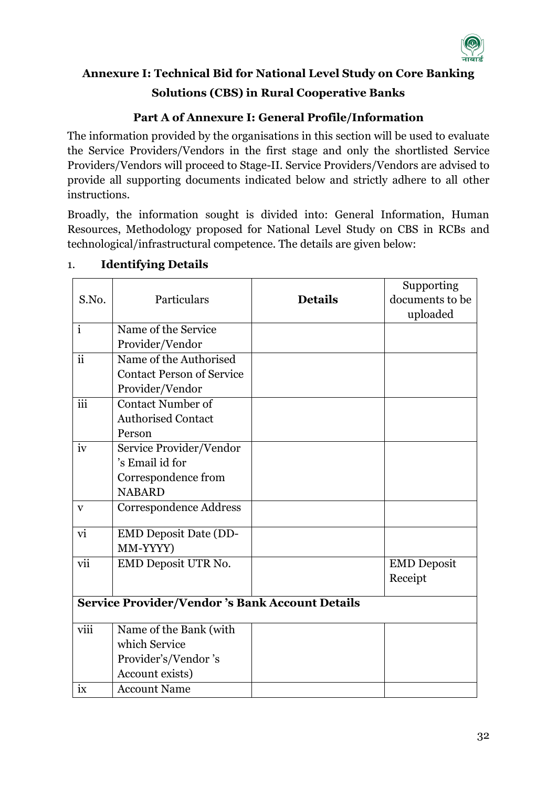

# <span id="page-31-0"></span>**Annexure I: Technical Bid for National Level Study on Core Banking Solutions (CBS) in Rural Cooperative Banks**

# **Part A of Annexure I: General Profile/Information**

The information provided by the organisations in this section will be used to evaluate the Service Providers/Vendors in the first stage and only the shortlisted Service Providers/Vendors will proceed to Stage-II. Service Providers/Vendors are advised to provide all supporting documents indicated below and strictly adhere to all other instructions.

Broadly, the information sought is divided into: General Information, Human Resources, Methodology proposed for National Level Study on CBS in RCBs and technological/infrastructural competence. The details are given below:

|                          |                                                       |                | Supporting         |
|--------------------------|-------------------------------------------------------|----------------|--------------------|
| S.No.                    | Particulars                                           | <b>Details</b> | documents to be    |
|                          |                                                       |                | uploaded           |
| $\mathbf{i}$             | Name of the Service                                   |                |                    |
|                          | Provider/Vendor                                       |                |                    |
| $\overline{ii}$          | Name of the Authorised                                |                |                    |
|                          | <b>Contact Person of Service</b>                      |                |                    |
|                          | Provider/Vendor                                       |                |                    |
| iii                      | Contact Number of                                     |                |                    |
|                          | <b>Authorised Contact</b>                             |                |                    |
|                          | Person                                                |                |                    |
| iv                       | Service Provider/Vendor                               |                |                    |
|                          | 's Email id for                                       |                |                    |
|                          | Correspondence from                                   |                |                    |
|                          | <b>NABARD</b>                                         |                |                    |
| V                        | <b>Correspondence Address</b>                         |                |                    |
| $\overline{\mathbf{vi}}$ | <b>EMD Deposit Date (DD-</b>                          |                |                    |
|                          | MM-YYYY)                                              |                |                    |
| vii                      | EMD Deposit UTR No.                                   |                | <b>EMD</b> Deposit |
|                          |                                                       |                | Receipt            |
|                          | <b>Service Provider/Vendor's Bank Account Details</b> |                |                    |
| viii                     | Name of the Bank (with                                |                |                    |
|                          | which Service                                         |                |                    |
|                          | Provider's/Vendor 's                                  |                |                    |
|                          | Account exists)                                       |                |                    |
| ix                       | <b>Account Name</b>                                   |                |                    |

# 1. **Identifying Details**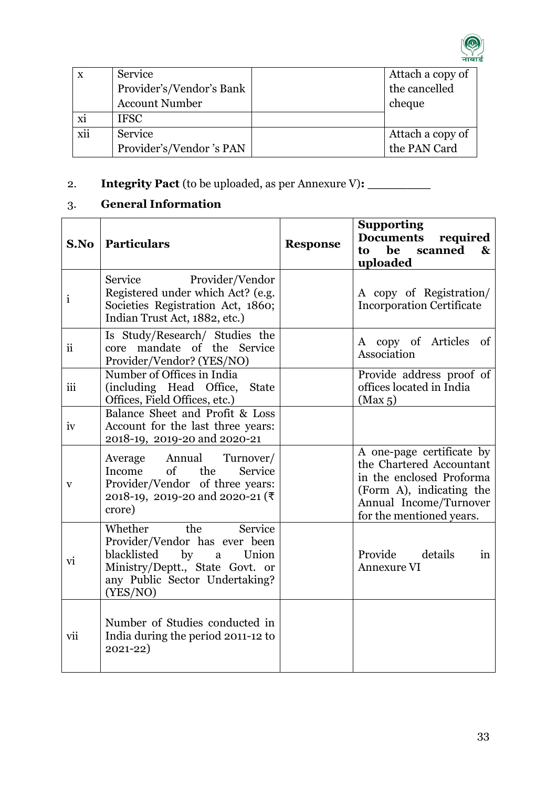

| $\mathbf{x}$ | Service                  | Attach a copy of |
|--------------|--------------------------|------------------|
|              | Provider's/Vendor's Bank | the cancelled    |
|              | <b>Account Number</b>    | cheque           |
| xi           | <b>IFSC</b>              |                  |
| xii          | Service                  | Attach a copy of |
|              | Provider's/Vendor 's PAN | the PAN Card     |

# 2. **Integrity Pact** (to be uploaded, as per Annexure V)**: \_\_\_\_\_\_\_\_**

# 3. **General Information**

| S.No         | <b>Particulars</b>                                                                                                                                                             | <b>Response</b> | <b>Supporting</b><br>required<br><b>Documents</b><br>scanned<br>be<br>$\mathbf{\&}$<br>to<br>uploaded                                                               |
|--------------|--------------------------------------------------------------------------------------------------------------------------------------------------------------------------------|-----------------|---------------------------------------------------------------------------------------------------------------------------------------------------------------------|
| $\mathbf{i}$ | Service<br>Provider/Vendor<br>Registered under which Act? (e.g.<br>Societies Registration Act, 1860;<br>Indian Trust Act, 1882, etc.)                                          |                 | A copy of Registration/<br><b>Incorporation Certificate</b>                                                                                                         |
| <i>ii</i>    | Is Study/Research/ Studies the<br>core mandate of the Service<br>Provider/Vendor? (YES/NO)                                                                                     |                 | A copy of Articles of<br>Association                                                                                                                                |
| iii          | Number of Offices in India<br>(including Head Office,<br><b>State</b><br>Offices, Field Offices, etc.)                                                                         |                 | Provide address proof of<br>offices located in India<br>(Max 5)                                                                                                     |
| iv           | Balance Sheet and Profit & Loss<br>Account for the last three years:<br>2018-19, 2019-20 and 2020-21                                                                           |                 |                                                                                                                                                                     |
| $\mathbf{V}$ | Average<br>Annual<br>Turnover/<br>the<br>$\sigma$ of<br>Service<br>Income<br>Provider/Vendor of three years:<br>2018-19, 2019-20 and 2020-21 (₹<br>crore)                      |                 | A one-page certificate by<br>the Chartered Accountant<br>in the enclosed Proforma<br>(Form A), indicating the<br>Annual Income/Turnover<br>for the mentioned years. |
| vi           | Whether<br>the<br>Service<br>Provider/Vendor has ever been<br>by<br>blacklisted<br>a<br>Union<br>Ministry/Deptt., State Govt. or<br>any Public Sector Undertaking?<br>(YES/NO) |                 | Provide details<br>in<br><b>Annexure VI</b>                                                                                                                         |
| vii          | Number of Studies conducted in<br>India during the period 2011-12 to<br>$2021 - 22)$                                                                                           |                 |                                                                                                                                                                     |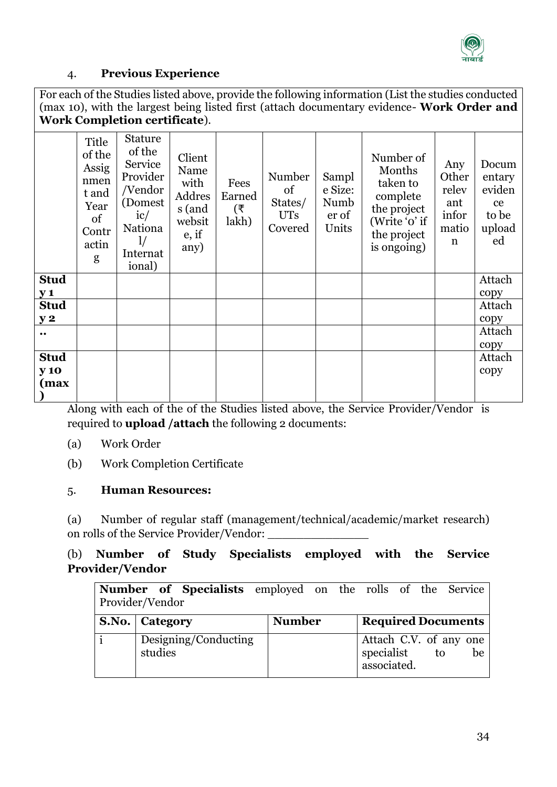

#### 4. **Previous Experience**

For each of the Studies listed above, provide the following information (List the studies conducted (max 10), with the largest being listed first (attach documentary evidence- **Work Order and Work Completion certificate**).

|                           | Title<br>of the<br>Assig<br>nmen<br>t and<br>Year<br>of<br>Contr<br>actin<br>g | <b>Stature</b><br>of the<br>Service<br>Provider<br>/Vendor<br>(Domest)<br>ic/<br><b>Nationa</b><br>$\frac{1}{2}$<br>Internat<br>ional) | Client<br>Name<br>with<br>Addres<br>s (and<br>websit<br>$e$ , if<br>any) | Fees<br>Earned<br>(₹<br>lakh) | Number<br>of<br>States/<br><b>UTs</b><br>Covered | Sampl<br>e Size:<br>Numb<br>er of<br>Units | Number of<br>Months<br>taken to<br>complete<br>the project<br>(Write 'o' if<br>the project<br>is ongoing) | Any<br>Other<br>relev<br>ant<br>infor<br>matio<br>$\mathbf n$ | Docum<br>entary<br>eviden<br>ce<br>to be<br>upload<br>ed |
|---------------------------|--------------------------------------------------------------------------------|----------------------------------------------------------------------------------------------------------------------------------------|--------------------------------------------------------------------------|-------------------------------|--------------------------------------------------|--------------------------------------------|-----------------------------------------------------------------------------------------------------------|---------------------------------------------------------------|----------------------------------------------------------|
| <b>Stud</b><br><b>y</b> 1 |                                                                                |                                                                                                                                        |                                                                          |                               |                                                  |                                            |                                                                                                           |                                                               | Attach<br>copy                                           |
| <b>Stud</b>               |                                                                                |                                                                                                                                        |                                                                          |                               |                                                  |                                            |                                                                                                           |                                                               | Attach                                                   |
| y2                        |                                                                                |                                                                                                                                        |                                                                          |                               |                                                  |                                            |                                                                                                           |                                                               | copy                                                     |
| $\bullet\bullet$          |                                                                                |                                                                                                                                        |                                                                          |                               |                                                  |                                            |                                                                                                           |                                                               | Attach                                                   |
|                           |                                                                                |                                                                                                                                        |                                                                          |                               |                                                  |                                            |                                                                                                           |                                                               | copy                                                     |
| <b>Stud</b>               |                                                                                |                                                                                                                                        |                                                                          |                               |                                                  |                                            |                                                                                                           |                                                               | Attach                                                   |
| <b>y</b> 10               |                                                                                |                                                                                                                                        |                                                                          |                               |                                                  |                                            |                                                                                                           |                                                               | copy                                                     |
| (max                      |                                                                                |                                                                                                                                        |                                                                          |                               |                                                  |                                            |                                                                                                           |                                                               |                                                          |
|                           |                                                                                |                                                                                                                                        |                                                                          |                               |                                                  |                                            |                                                                                                           |                                                               |                                                          |

Along with each of the of the Studies listed above, the Service Provider/Vendor is required to **upload /attach** the following 2 documents:

- (a) Work Order
- (b) Work Completion Certificate

#### 5. **Human Resources:**

(a) Number of regular staff (management/technical/academic/market research) on rolls of the Service Provider/Vendor:

# (b) **Number of Study Specialists employed with the Service Provider/Vendor**

| Number of Specialists employed on the rolls of the Service |  |  |  |  |
|------------------------------------------------------------|--|--|--|--|
| Provider/Vendor                                            |  |  |  |  |

| <b>S.No.</b> Category           | <b>Number</b> | <b>Required Documents</b>                                       |
|---------------------------------|---------------|-----------------------------------------------------------------|
| Designing/Conducting<br>studies |               | Attach C.V. of any one<br>specialist<br>tο<br>be<br>associated. |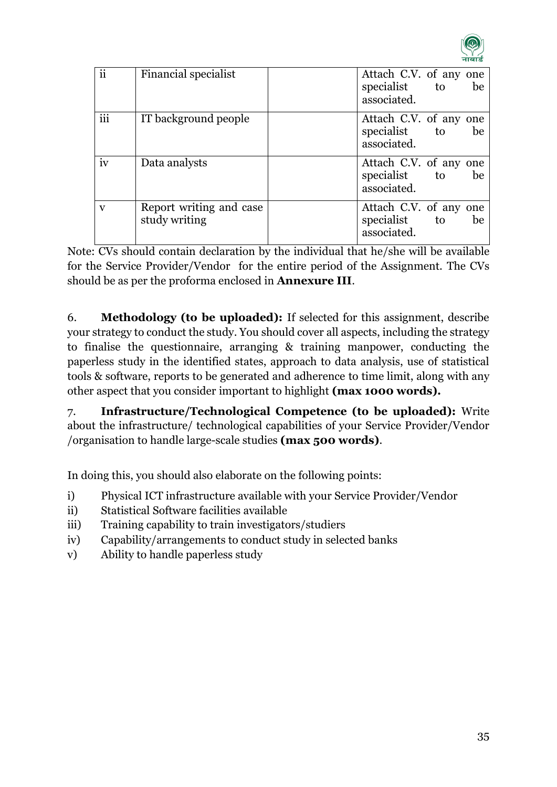

| ii              | Financial specialist                     | Attach C.V. of any one<br>specialist to<br>associated. | be |
|-----------------|------------------------------------------|--------------------------------------------------------|----|
| $\cdots$<br>111 | IT background people                     | Attach C.V. of any one<br>specialist to<br>associated. | be |
| iv              | Data analysts                            | Attach C.V. of any one<br>specialist to<br>associated. | be |
| $\mathbf{V}$    | Report writing and case<br>study writing | Attach C.V. of any one<br>specialist to<br>associated. | be |

Note: CVs should contain declaration by the individual that he/she will be available for the Service Provider/Vendor for the entire period of the Assignment. The CVs should be as per the proforma enclosed in **Annexure III**.

6. **Methodology (to be uploaded):** If selected for this assignment, describe your strategy to conduct the study. You should cover all aspects, including the strategy to finalise the questionnaire, arranging & training manpower, conducting the paperless study in the identified states, approach to data analysis, use of statistical tools & software, reports to be generated and adherence to time limit, along with any other aspect that you consider important to highlight **(max 1000 words).**

7. **Infrastructure/Technological Competence (to be uploaded):** Write about the infrastructure/ technological capabilities of your Service Provider/Vendor /organisation to handle large-scale studies **(max 500 words)**.

In doing this, you should also elaborate on the following points:

- i) Physical ICT infrastructure available with your Service Provider/Vendor
- ii) Statistical Software facilities available
- iii) Training capability to train investigators/studiers
- iv) Capability/arrangements to conduct study in selected banks
- v) Ability to handle paperless study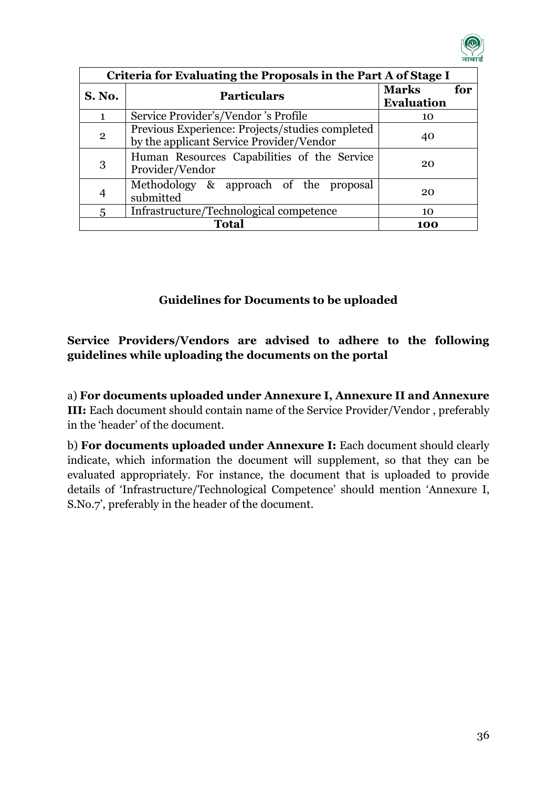

| Criteria for Evaluating the Proposals in the Part A of Stage I |                                                                                                   |                                          |  |
|----------------------------------------------------------------|---------------------------------------------------------------------------------------------------|------------------------------------------|--|
| <b>S. No.</b>                                                  | <b>Particulars</b>                                                                                | <b>Marks</b><br>for<br><b>Evaluation</b> |  |
| $\mathbf{1}$                                                   | Service Provider's/Vendor 's Profile                                                              | 10                                       |  |
| $\mathbf{2}$                                                   | Previous Experience: Projects/studies completed<br>40<br>by the applicant Service Provider/Vendor |                                          |  |
| 3                                                              | Human Resources Capabilities of the Service<br>20<br>Provider/Vendor                              |                                          |  |
|                                                                | Methodology & approach of the proposal<br>20<br>submitted                                         |                                          |  |
| Infrastructure/Technological competence<br>5                   |                                                                                                   | $10^{-1}$                                |  |
|                                                                | <b>Total</b><br>100                                                                               |                                          |  |

# **Guidelines for Documents to be uploaded**

# **Service Providers/Vendors are advised to adhere to the following guidelines while uploading the documents on the portal**

a) **For documents uploaded under Annexure I, Annexure II and Annexure III:** Each document should contain name of the Service Provider/Vendor , preferably in the 'header' of the document.

b) **For documents uploaded under Annexure I:** Each document should clearly indicate, which information the document will supplement, so that they can be evaluated appropriately. For instance, the document that is uploaded to provide details of 'Infrastructure/Technological Competence' should mention 'Annexure I, S.No.7', preferably in the header of the document.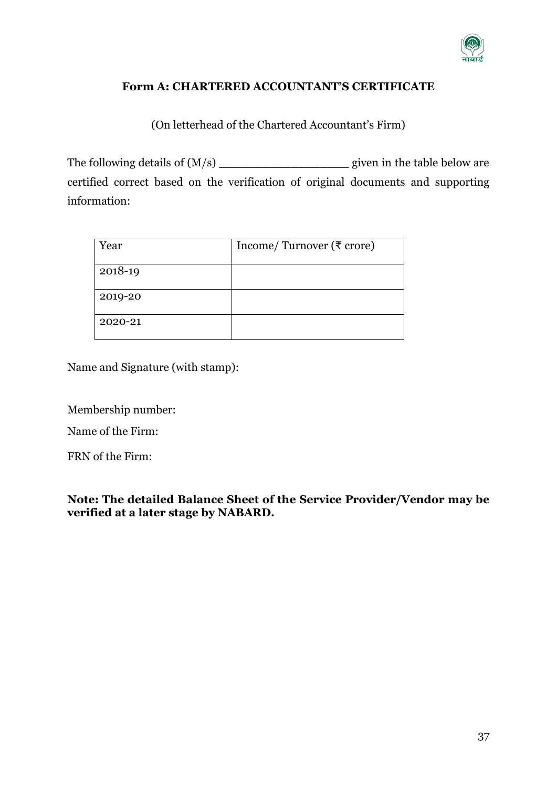

#### **Form A: CHARTERED ACCOUNTANT'S CERTIFICATE**

(On letterhead of the Chartered Accountant's Firm)

The following details of (M/s) \_\_\_\_\_\_\_\_\_\_\_\_\_\_\_\_\_\_ given in the table below are certified correct based on the verification of original documents and supporting information:

| Year    | Income/Turnover ( $\overline{\tau}$ crore) |
|---------|--------------------------------------------|
| 2018-19 |                                            |
| 2019-20 |                                            |
| 2020-21 |                                            |

Name and Signature (with stamp):

Membership number:

Name of the Firm:

FRN of the Firm:

**Note: The detailed Balance Sheet of the Service Provider/Vendor may be verified at a later stage by NABARD.**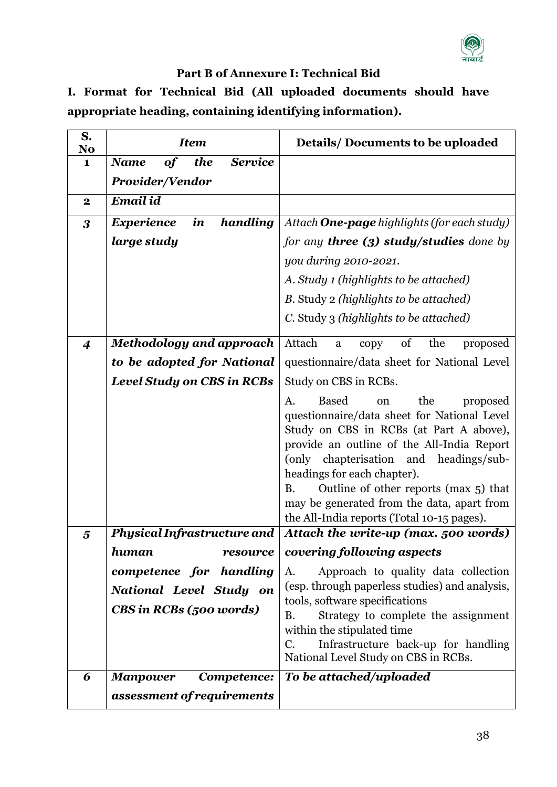

# **Part B of Annexure I: Technical Bid**

**I. Format for Technical Bid (All uploaded documents should have appropriate heading, containing identifying information).**

| S.<br>No         | <b>Item</b>                                         | <b>Details/Documents to be uploaded</b>                                                                                                                                                                                                                                                                                                                                                                                |
|------------------|-----------------------------------------------------|------------------------------------------------------------------------------------------------------------------------------------------------------------------------------------------------------------------------------------------------------------------------------------------------------------------------------------------------------------------------------------------------------------------------|
| $\mathbf{1}$     | the<br><b>Service</b><br><b>Name</b><br><b>of</b>   |                                                                                                                                                                                                                                                                                                                                                                                                                        |
|                  | <b>Provider/Vendor</b>                              |                                                                                                                                                                                                                                                                                                                                                                                                                        |
| $\boldsymbol{2}$ | <b>Email id</b>                                     |                                                                                                                                                                                                                                                                                                                                                                                                                        |
| $\boldsymbol{3}$ | handling<br>$\boldsymbol{i}$ n<br><b>Experience</b> | Attach <b>One-page</b> highlights (for each study)                                                                                                                                                                                                                                                                                                                                                                     |
|                  | large study                                         | for any <b>three (3) study/studies</b> done by                                                                                                                                                                                                                                                                                                                                                                         |
|                  |                                                     | you during 2010-2021.                                                                                                                                                                                                                                                                                                                                                                                                  |
|                  |                                                     | A. Study 1 (highlights to be attached)                                                                                                                                                                                                                                                                                                                                                                                 |
|                  |                                                     | B. Study 2 (highlights to be attached)                                                                                                                                                                                                                                                                                                                                                                                 |
|                  |                                                     | C. Study 3 (highlights to be attached)                                                                                                                                                                                                                                                                                                                                                                                 |
| $\boldsymbol{4}$ | <b>Methodology and approach</b>                     | Attach<br>of<br>the<br>proposed<br>$\mathbf{a}$<br>copy                                                                                                                                                                                                                                                                                                                                                                |
|                  | to be adopted for National                          | questionnaire/data sheet for National Level                                                                                                                                                                                                                                                                                                                                                                            |
|                  | <b>Level Study on CBS in RCBs</b>                   | Study on CBS in RCBs.                                                                                                                                                                                                                                                                                                                                                                                                  |
|                  |                                                     | <b>Based</b><br>the<br>proposed<br>A.<br><sub>on</sub><br>questionnaire/data sheet for National Level<br>Study on CBS in RCBs (at Part A above),<br>provide an outline of the All-India Report<br>chapterisation and headings/sub-<br>(only)<br>headings for each chapter).<br>Outline of other reports (max 5) that<br>B.<br>may be generated from the data, apart from<br>the All-India reports (Total 10-15 pages). |
| 5                | <b>Physical Infrastructure and</b>                  | Attach the write-up (max. 500 words)                                                                                                                                                                                                                                                                                                                                                                                   |
|                  | human<br>resource                                   | covering following aspects                                                                                                                                                                                                                                                                                                                                                                                             |
|                  | competence for handling                             | Approach to quality data collection<br>A.                                                                                                                                                                                                                                                                                                                                                                              |
|                  | National Level Study on                             | (esp. through paperless studies) and analysis,<br>tools, software specifications                                                                                                                                                                                                                                                                                                                                       |
|                  | CBS in RCBs (500 words)                             | Strategy to complete the assignment<br>В.<br>within the stipulated time<br>Infrastructure back-up for handling<br>C.<br>National Level Study on CBS in RCBs.                                                                                                                                                                                                                                                           |
| 6                | <b>Manpower</b><br>Competence:                      | To be attached/uploaded                                                                                                                                                                                                                                                                                                                                                                                                |
|                  | assessment of requirements                          |                                                                                                                                                                                                                                                                                                                                                                                                                        |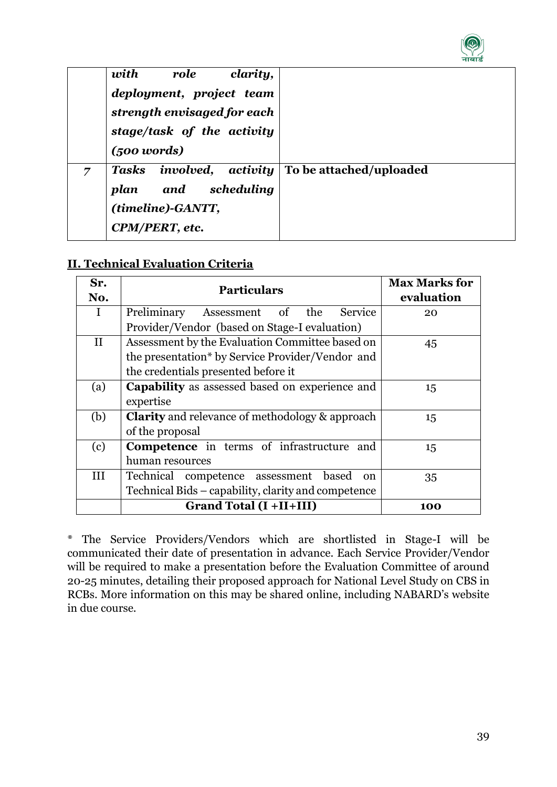

|   | with<br>clarity,<br>role<br>deployment, project team<br>strength envisaged for each<br>stage/task of the activity<br>$(500 \text{ words})$ |                         |
|---|--------------------------------------------------------------------------------------------------------------------------------------------|-------------------------|
| 7 | Tasks involved, activity<br>and scheduling<br>plan<br>(timeline)-GANTT,<br>CPM/PERT, etc.                                                  | To be attached/uploaded |

#### **II. Technical Evaluation Criteria**

| Sr.          | <b>Particulars</b>                                        | <b>Max Marks for</b> |  |
|--------------|-----------------------------------------------------------|----------------------|--|
| No.          |                                                           | evaluation           |  |
| Ι            | the<br>Service<br>Preliminary<br>of<br>Assessment         | 20                   |  |
|              | Provider/Vendor (based on Stage-I evaluation)             |                      |  |
| $\mathbf{I}$ | Assessment by the Evaluation Committee based on           | 45                   |  |
|              | the presentation* by Service Provider/Vendor and          |                      |  |
|              | the credentials presented before it                       |                      |  |
| (a)          | <b>Capability</b> as assessed based on experience and     | 15                   |  |
|              | expertise                                                 |                      |  |
| (b)          | <b>Clarity</b> and relevance of methodology & approach    | 15                   |  |
|              | of the proposal                                           |                      |  |
| (c)          | <b>Competence</b> in terms of infrastructure and          | 15                   |  |
|              | human resources                                           |                      |  |
| Ш            | Technical competence assessment<br>based<br><sub>on</sub> | 35                   |  |
|              | Technical Bids – capability, clarity and competence       |                      |  |
|              | <b>Grand Total (I +II+III)</b>                            | 100                  |  |

\* The Service Providers/Vendors which are shortlisted in Stage-I will be communicated their date of presentation in advance. Each Service Provider/Vendor will be required to make a presentation before the Evaluation Committee of around 20-25 minutes, detailing their proposed approach for National Level Study on CBS in RCBs. More information on this may be shared online, including NABARD's website in due course.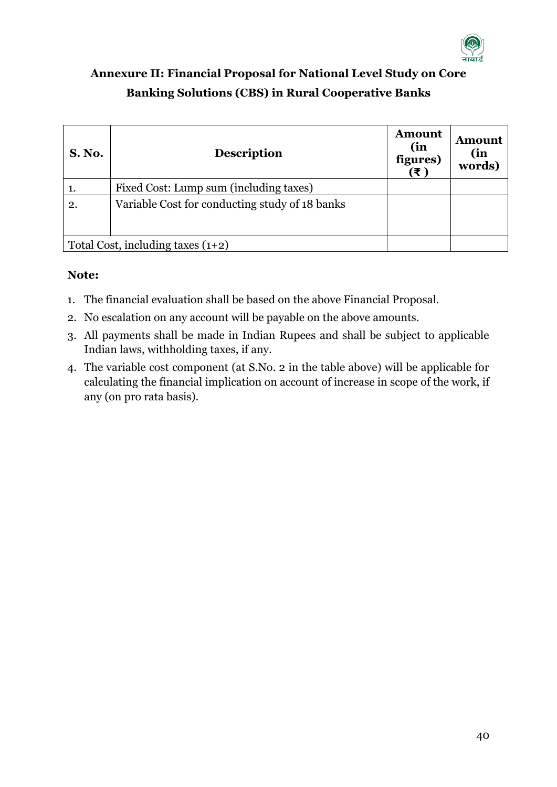

# <span id="page-39-0"></span>**Annexure II: Financial Proposal for National Level Study on Core Banking Solutions (CBS) in Rural Cooperative Banks**

| <b>S. No.</b>                       | <b>Description</b>                             | <b>Amount</b><br>(in<br>figures)<br>(₹) | <b>Amount</b><br>(in<br>words) |
|-------------------------------------|------------------------------------------------|-----------------------------------------|--------------------------------|
|                                     | Fixed Cost: Lump sum (including taxes)         |                                         |                                |
| 2.                                  | Variable Cost for conducting study of 18 banks |                                         |                                |
| Total Cost, including taxes $(1+2)$ |                                                |                                         |                                |

# **Note:**

- 1. The financial evaluation shall be based on the above Financial Proposal.
- 2. No escalation on any account will be payable on the above amounts.
- 3. All payments shall be made in Indian Rupees and shall be subject to applicable Indian laws, withholding taxes, if any.
- 4. The variable cost component (at S.No. 2 in the table above) will be applicable for calculating the financial implication on account of increase in scope of the work, if any (on pro rata basis).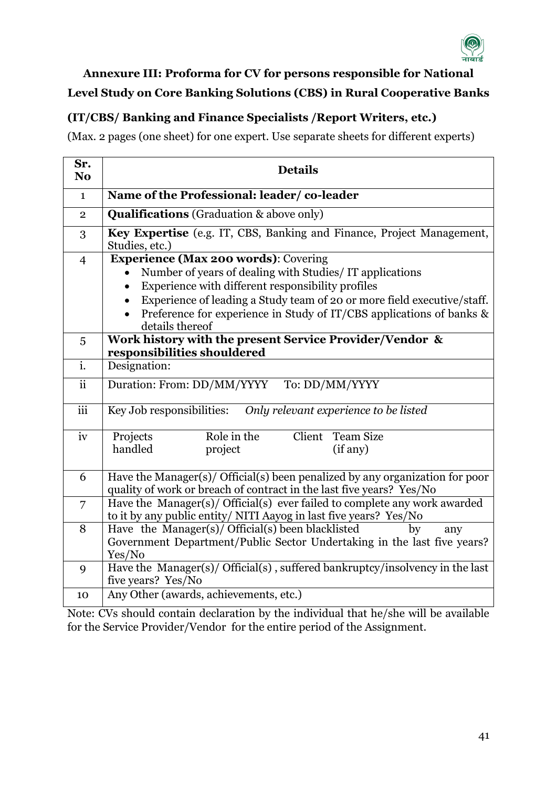

# <span id="page-40-0"></span>**Annexure III: Proforma for CV for persons responsible for National Level Study on Core Banking Solutions (CBS) in Rural Cooperative Banks**

# **(IT/CBS/ Banking and Finance Specialists /Report Writers, etc.)**

(Max. 2 pages (one sheet) for one expert. Use separate sheets for different experts)

| Sr.<br>N <sub>0</sub>     | <b>Details</b>                                                                                                                                       |  |
|---------------------------|------------------------------------------------------------------------------------------------------------------------------------------------------|--|
| $\mathbf{1}$              | Name of the Professional: leader/co-leader                                                                                                           |  |
| $\overline{2}$            | <b>Qualifications</b> (Graduation & above only)                                                                                                      |  |
| 3                         | Key Expertise (e.g. IT, CBS, Banking and Finance, Project Management,<br>Studies, etc.)                                                              |  |
| $\overline{4}$            | Experience (Max 200 words): Covering                                                                                                                 |  |
|                           | Number of years of dealing with Studies/IT applications                                                                                              |  |
|                           | Experience with different responsibility profiles<br>$\bullet$                                                                                       |  |
|                           | Experience of leading a Study team of 20 or more field executive/staff.                                                                              |  |
|                           | Preference for experience in Study of IT/CBS applications of banks &<br>details thereof                                                              |  |
| 5                         | Work history with the present Service Provider/Vendor &                                                                                              |  |
|                           | responsibilities shouldered                                                                                                                          |  |
| $\overline{\mathbf{i}}$ . | Designation:                                                                                                                                         |  |
| $\overline{\text{ii}}$    | Duration: From: DD/MM/YYYY<br>To: DD/MM/YYYY                                                                                                         |  |
| $\overline{\text{iii}}$   | Key Job responsibilities:<br>Only relevant experience to be listed                                                                                   |  |
| iv                        | Role in the<br>Client<br><b>Team Size</b><br>Projects                                                                                                |  |
|                           | handled<br>project<br>(if any)                                                                                                                       |  |
|                           |                                                                                                                                                      |  |
| 6                         | Have the Manager(s)/ Official(s) been penalized by any organization for poor<br>quality of work or breach of contract in the last five years? Yes/No |  |
| $\overline{7}$            | Have the Manager(s)/ Official(s) ever failed to complete any work awarded<br>to it by any public entity/ NITI Aayog in last five years? Yes/No       |  |
| 8                         | Have the Manager(s)/ Official(s) been blacklisted<br>by<br>any                                                                                       |  |
|                           | Government Department/Public Sector Undertaking in the last five years?                                                                              |  |
|                           | Yes/No                                                                                                                                               |  |
| 9                         | Have the Manager(s)/ Official(s), suffered bankruptcy/insolvency in the last                                                                         |  |
|                           | five years? Yes/No                                                                                                                                   |  |
| 10                        | Any Other (awards, achievements, etc.)                                                                                                               |  |

Note: CVs should contain declaration by the individual that he/she will be available for the Service Provider/Vendor for the entire period of the Assignment.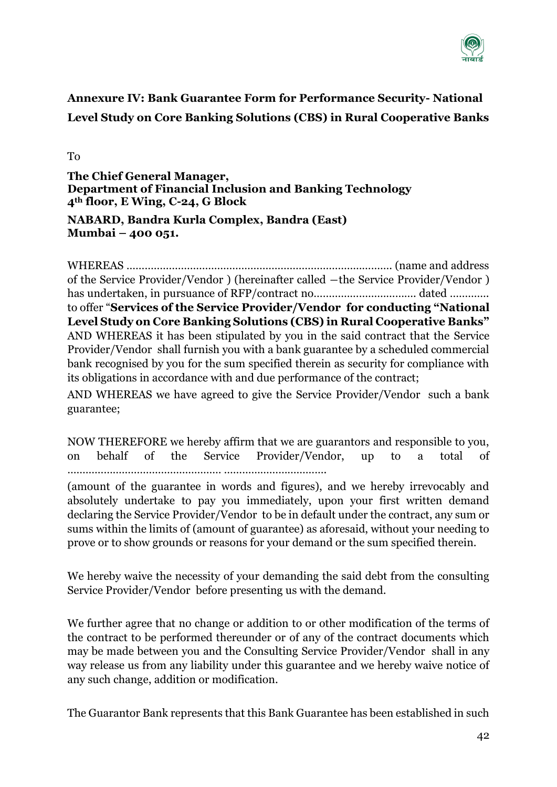

# <span id="page-41-0"></span>**Annexure IV: Bank Guarantee Form for Performance Security- National Level Study on Core Banking Solutions (CBS) in Rural Cooperative Banks**

To

**The Chief General Manager, Department of Financial Inclusion and Banking Technology 4th floor, E Wing, C-24, G Block**

#### **NABARD, Bandra Kurla Complex, Bandra (East) Mumbai – 400 051.**

WHEREAS ……………………………………………………………………………. (name and address of the Service Provider/Vendor ) (hereinafter called ―the Service Provider/Vendor ) has undertaken, in pursuance of RFP/contract no……………………………. dated …………. to offer "**Services of the Service Provider/Vendor for conducting "National Level Study on Core Banking Solutions (CBS) in Rural Cooperative Banks"** AND WHEREAS it has been stipulated by you in the said contract that the Service Provider/Vendor shall furnish you with a bank guarantee by a scheduled commercial bank recognised by you for the sum specified therein as security for compliance with its obligations in accordance with and due performance of the contract;

AND WHEREAS we have agreed to give the Service Provider/Vendor such a bank guarantee;

NOW THEREFORE we hereby affirm that we are guarantors and responsible to you, on behalf of the Service Provider/Vendor, up to a total of …………………………………………… …………………………….

(amount of the guarantee in words and figures), and we hereby irrevocably and absolutely undertake to pay you immediately, upon your first written demand declaring the Service Provider/Vendor to be in default under the contract, any sum or sums within the limits of (amount of guarantee) as aforesaid, without your needing to prove or to show grounds or reasons for your demand or the sum specified therein.

We hereby waive the necessity of your demanding the said debt from the consulting Service Provider/Vendor before presenting us with the demand.

We further agree that no change or addition to or other modification of the terms of the contract to be performed thereunder or of any of the contract documents which may be made between you and the Consulting Service Provider/Vendor shall in any way release us from any liability under this guarantee and we hereby waive notice of any such change, addition or modification.

The Guarantor Bank represents that this Bank Guarantee has been established in such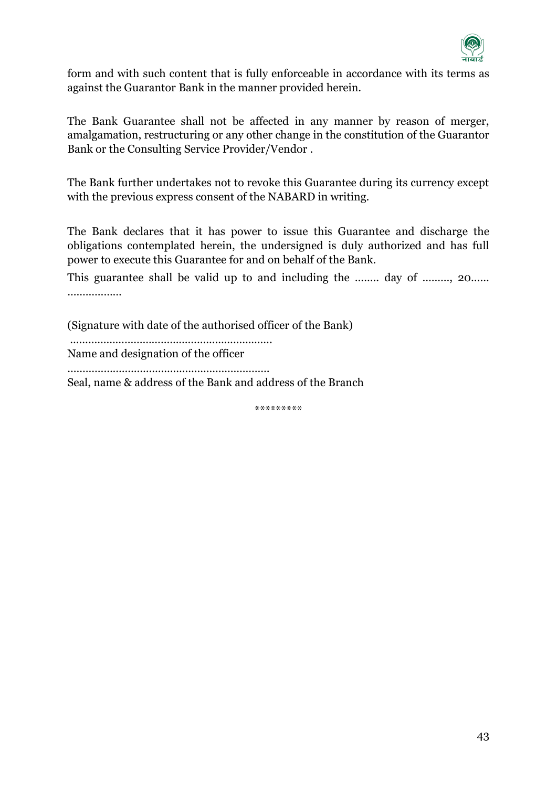

form and with such content that is fully enforceable in accordance with its terms as against the Guarantor Bank in the manner provided herein.

The Bank Guarantee shall not be affected in any manner by reason of merger, amalgamation, restructuring or any other change in the constitution of the Guarantor Bank or the Consulting Service Provider/Vendor .

The Bank further undertakes not to revoke this Guarantee during its currency except with the previous express consent of the NABARD in writing.

The Bank declares that it has power to issue this Guarantee and discharge the obligations contemplated herein, the undersigned is duly authorized and has full power to execute this Guarantee for and on behalf of the Bank.

This guarantee shall be valid up to and including the …….. day of ……..., 20…… ………………

(Signature with date of the authorised officer of the Bank)

…………………………………………………………. Name and designation of the officer

………………………………………………………….

Seal, name & address of the Bank and address of the Branch

\*\*\*\*\*\*\*\*\*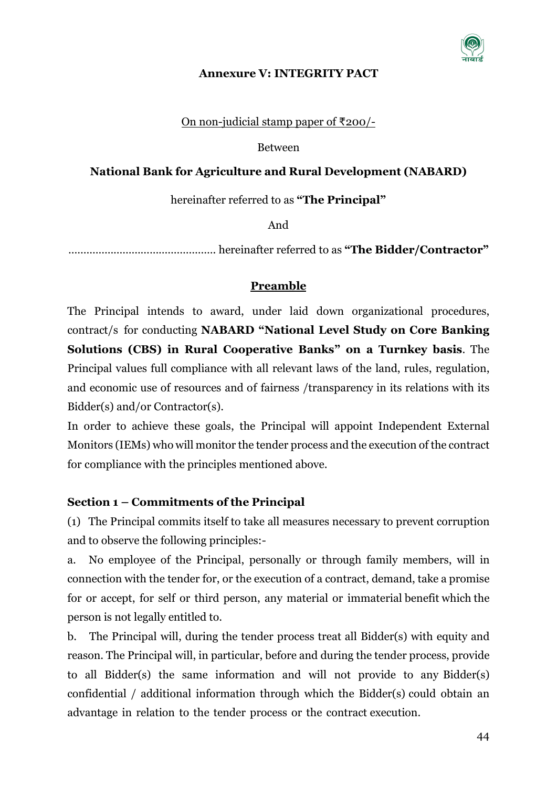

#### **Annexure V: INTEGRITY PACT**

On non-judicial stamp paper of ₹200/-

Between

### <span id="page-43-0"></span>**National Bank for Agriculture and Rural Development (NABARD)**

hereinafter referred to as **"The Principal"**

And

…………………………………………. hereinafter referred to as **"The Bidder/Contractor"**

# **Preamble**

The Principal intends to award, under laid down organizational procedures, contract/s for conducting **NABARD "National Level Study on Core Banking Solutions (CBS) in Rural Cooperative Banks" on a Turnkey basis**. The Principal values full compliance with all relevant laws of the land, rules, regulation, and economic use of resources and of fairness /transparency in its relations with its Bidder(s) and/or Contractor(s).

In order to achieve these goals, the Principal will appoint Independent External Monitors (IEMs) who will monitor the tender process and the execution of the contract for compliance with the principles mentioned above.

# **Section 1 – Commitments of the Principal**

(1) The Principal commits itself to take all measures necessary to prevent corruption and to observe the following principles:-

a. No employee of the Principal, personally or through family members, will in connection with the tender for, or the execution of a contract, demand, take a promise for or accept, for self or third person, any material or immaterial benefit which the person is not legally entitled to.

b. The Principal will, during the tender process treat all Bidder(s) with equity and reason. The Principal will, in particular, before and during the tender process, provide to all Bidder(s) the same information and will not provide to any Bidder(s) confidential / additional information through which the Bidder(s) could obtain an advantage in relation to the tender process or the contract execution.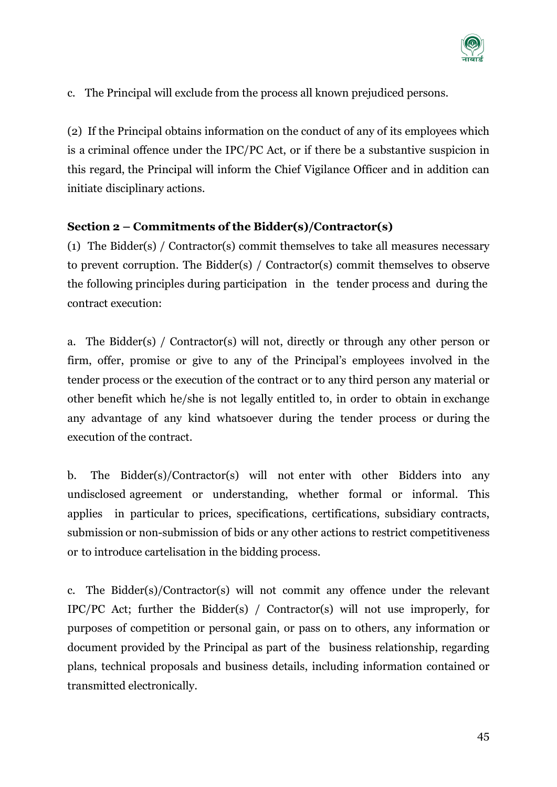

c. The Principal will exclude from the process all known prejudiced persons.

(2) If the Principal obtains information on the conduct of any of its employees which is a criminal offence under the IPC/PC Act, or if there be a substantive suspicion in this regard, the Principal will inform the Chief Vigilance Officer and in addition can initiate disciplinary actions.

# **Section 2 – Commitments of the Bidder(s)/Contractor(s)**

(1) The Bidder(s) / Contractor(s) commit themselves to take all measures necessary to prevent corruption. The Bidder(s) / Contractor(s) commit themselves to observe the following principles during participation in the tender process and during the contract execution:

a. The Bidder(s) / Contractor(s) will not, directly or through any other person or firm, offer, promise or give to any of the Principal's employees involved in the tender process or the execution of the contract or to any third person any material or other benefit which he/she is not legally entitled to, in order to obtain in exchange any advantage of any kind whatsoever during the tender process or during the execution of the contract.

b. The Bidder(s)/Contractor(s) will not enter with other Bidders into any undisclosed agreement or understanding, whether formal or informal. This applies in particular to prices, specifications, certifications, subsidiary contracts, submission or non-submission of bids or any other actions to restrict competitiveness or to introduce cartelisation in the bidding process.

c. The Bidder(s)/Contractor(s) will not commit any offence under the relevant IPC/PC Act; further the Bidder(s) / Contractor(s) will not use improperly, for purposes of competition or personal gain, or pass on to others, any information or document provided by the Principal as part of the business relationship, regarding plans, technical proposals and business details, including information contained or transmitted electronically.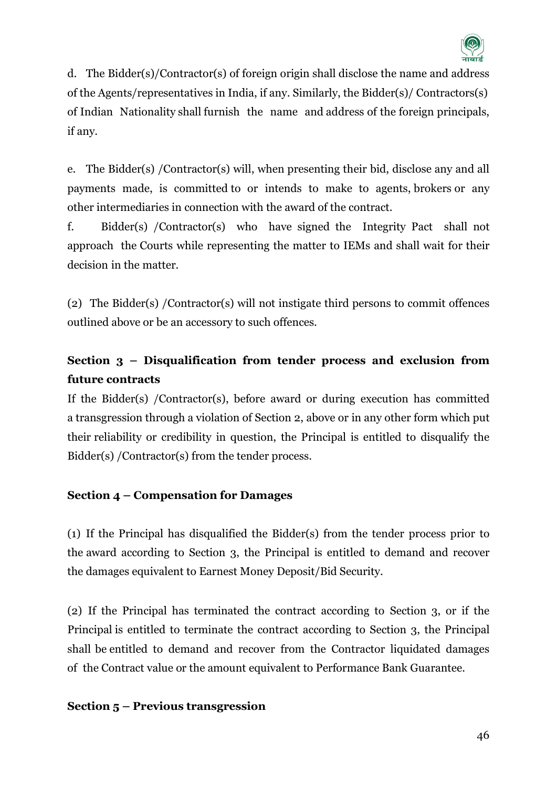

d. The Bidder(s)/Contractor(s) of foreign origin shall disclose the name and address of the Agents/representatives in India, if any. Similarly, the Bidder(s)/ Contractors(s) of Indian Nationality shall furnish the name and address of the foreign principals, if any.

e. The Bidder(s) /Contractor(s) will, when presenting their bid, disclose any and all payments made, is committed to or intends to make to agents, brokers or any other intermediaries in connection with the award of the contract.

f. Bidder(s) /Contractor(s) who have signed the Integrity Pact shall not approach the Courts while representing the matter to IEMs and shall wait for their decision in the matter.

(2) The Bidder(s) /Contractor(s) will not instigate third persons to commit offences outlined above or be an accessory to such offences.

# **Section 3 – Disqualification from tender process and exclusion from future contracts**

If the Bidder(s) /Contractor(s), before award or during execution has committed a transgression through a violation of Section 2, above or in any other form which put their reliability or credibility in question, the Principal is entitled to disqualify the Bidder(s) /Contractor(s) from the tender process.

# **Section 4 – Compensation for Damages**

(1) If the Principal has disqualified the Bidder(s) from the tender process prior to the award according to Section 3, the Principal is entitled to demand and recover the damages equivalent to Earnest Money Deposit/Bid Security.

(2) If the Principal has terminated the contract according to Section 3, or if the Principal is entitled to terminate the contract according to Section 3, the Principal shall be entitled to demand and recover from the Contractor liquidated damages of the Contract value or the amount equivalent to Performance Bank Guarantee.

# **Section 5 – Previous transgression**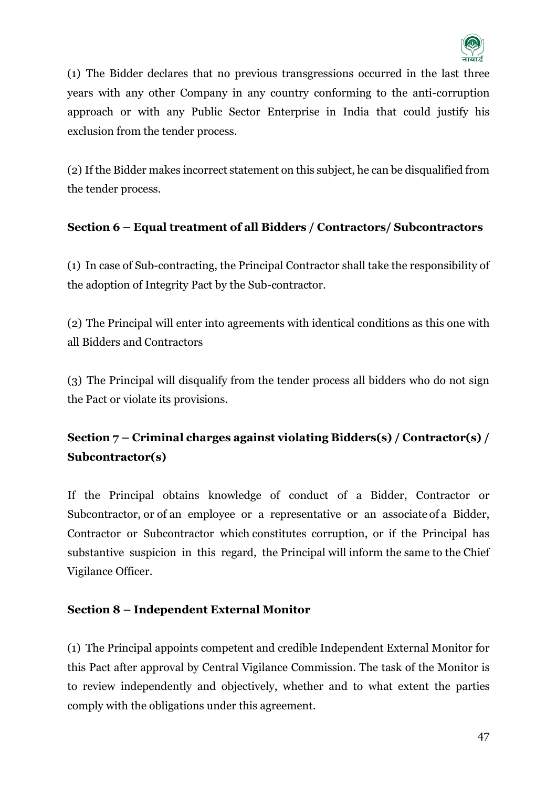

(1) The Bidder declares that no previous transgressions occurred in the last three years with any other Company in any country conforming to the anti-corruption approach or with any Public Sector Enterprise in India that could justify his exclusion from the tender process.

(2) If the Bidder makes incorrect statement on this subject, he can be disqualified from the tender process.

# **Section 6 – Equal treatment of all Bidders / Contractors/ Subcontractors**

(1) In case of Sub-contracting, the Principal Contractor shall take the responsibility of the adoption of Integrity Pact by the Sub-contractor.

(2) The Principal will enter into agreements with identical conditions as this one with all Bidders and Contractors

(3) The Principal will disqualify from the tender process all bidders who do not sign the Pact or violate its provisions.

# **Section 7 – Criminal charges against violating Bidders(s) / Contractor(s) / Subcontractor(s)**

If the Principal obtains knowledge of conduct of a Bidder, Contractor or Subcontractor, or of an employee or a representative or an associate of a Bidder, Contractor or Subcontractor which constitutes corruption, or if the Principal has substantive suspicion in this regard, the Principal will inform the same to the Chief Vigilance Officer.

# **Section 8 – Independent External Monitor**

(1) The Principal appoints competent and credible Independent External Monitor for this Pact after approval by Central Vigilance Commission. The task of the Monitor is to review independently and objectively, whether and to what extent the parties comply with the obligations under this agreement.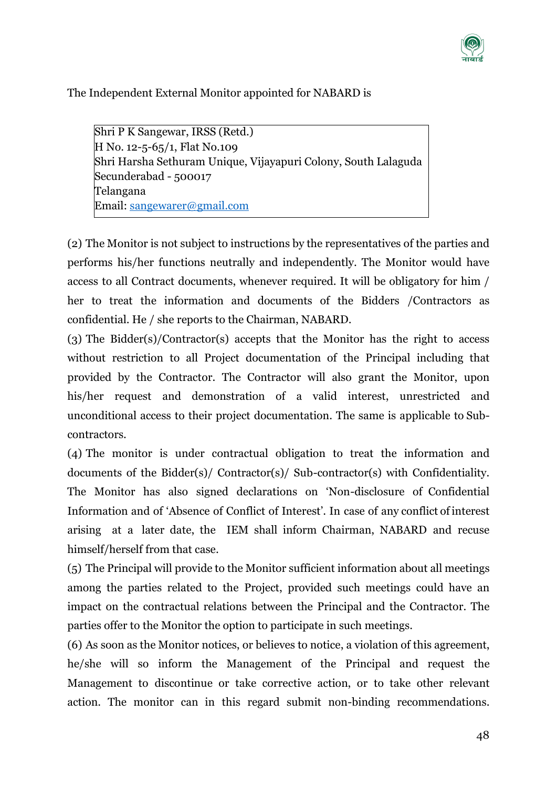

The Independent External Monitor appointed for NABARD is

Shri P K Sangewar, IRSS (Retd.) H No. 12-5-65/1, Flat No.109 Shri Harsha Sethuram Unique, Vijayapuri Colony, South Lalaguda Secunderabad - 500017 Telangana Email: [sangewarer@gmail.com](mailto:sangewarer@gmail.com)

(2) The Monitor is not subject to instructions by the representatives of the parties and performs his/her functions neutrally and independently. The Monitor would have access to all Contract documents, whenever required. It will be obligatory for him / her to treat the information and documents of the Bidders /Contractors as confidential. He / she reports to the Chairman, NABARD.

(3) The Bidder(s)/Contractor(s) accepts that the Monitor has the right to access without restriction to all Project documentation of the Principal including that provided by the Contractor. The Contractor will also grant the Monitor, upon his/her request and demonstration of a valid interest, unrestricted and unconditional access to their project documentation. The same is applicable to Subcontractors.

(4) The monitor is under contractual obligation to treat the information and documents of the Bidder(s)/ Contractor(s)/ Sub-contractor(s) with Confidentiality. The Monitor has also signed declarations on 'Non-disclosure of Confidential Information and of 'Absence of Conflict of Interest'. In case of any conflict of interest arising at a later date, the IEM shall inform Chairman, NABARD and recuse himself/herself from that case.

(5) The Principal will provide to the Monitor sufficient information about all meetings among the parties related to the Project, provided such meetings could have an impact on the contractual relations between the Principal and the Contractor. The parties offer to the Monitor the option to participate in such meetings.

(6) As soon as the Monitor notices, or believes to notice, a violation of this agreement, he/she will so inform the Management of the Principal and request the Management to discontinue or take corrective action, or to take other relevant action. The monitor can in this regard submit non-binding recommendations.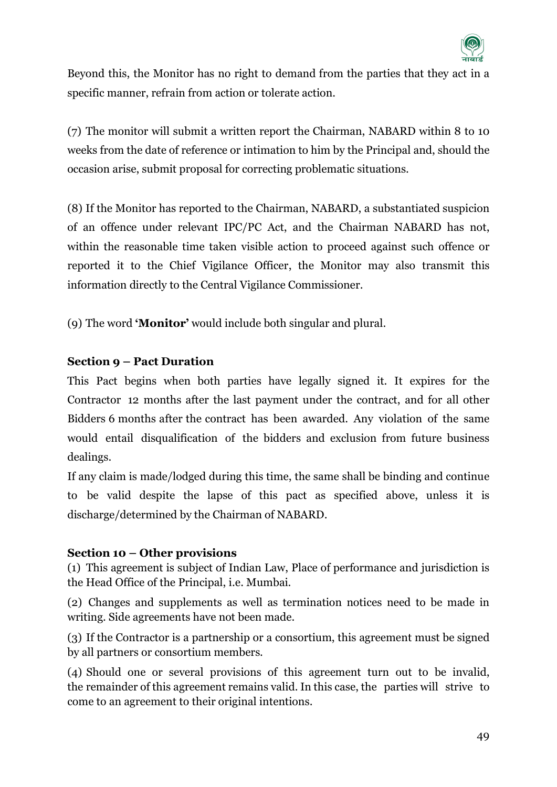

Beyond this, the Monitor has no right to demand from the parties that they act in a specific manner, refrain from action or tolerate action.

(7) The monitor will submit a written report the Chairman, NABARD within 8 to 10 weeks from the date of reference or intimation to him by the Principal and, should the occasion arise, submit proposal for correcting problematic situations.

(8) If the Monitor has reported to the Chairman, NABARD, a substantiated suspicion of an offence under relevant IPC/PC Act, and the Chairman NABARD has not, within the reasonable time taken visible action to proceed against such offence or reported it to the Chief Vigilance Officer, the Monitor may also transmit this information directly to the Central Vigilance Commissioner.

(9) The word **'Monitor'** would include both singular and plural.

# **Section 9 – Pact Duration**

This Pact begins when both parties have legally signed it. It expires for the Contractor 12 months after the last payment under the contract, and for all other Bidders 6 months after the contract has been awarded. Any violation of the same would entail disqualification of the bidders and exclusion from future business dealings.

If any claim is made/lodged during this time, the same shall be binding and continue to be valid despite the lapse of this pact as specified above, unless it is discharge/determined by the Chairman of NABARD.

#### **Section 10 – Other provisions**

(1) This agreement is subject of Indian Law, Place of performance and jurisdiction is the Head Office of the Principal, i.e. Mumbai.

(2) Changes and supplements as well as termination notices need to be made in writing. Side agreements have not been made.

(3) If the Contractor is a partnership or a consortium, this agreement must be signed by all partners or consortium members.

(4) Should one or several provisions of this agreement turn out to be invalid, the remainder of this agreement remains valid. In this case, the parties will strive to come to an agreement to their original intentions.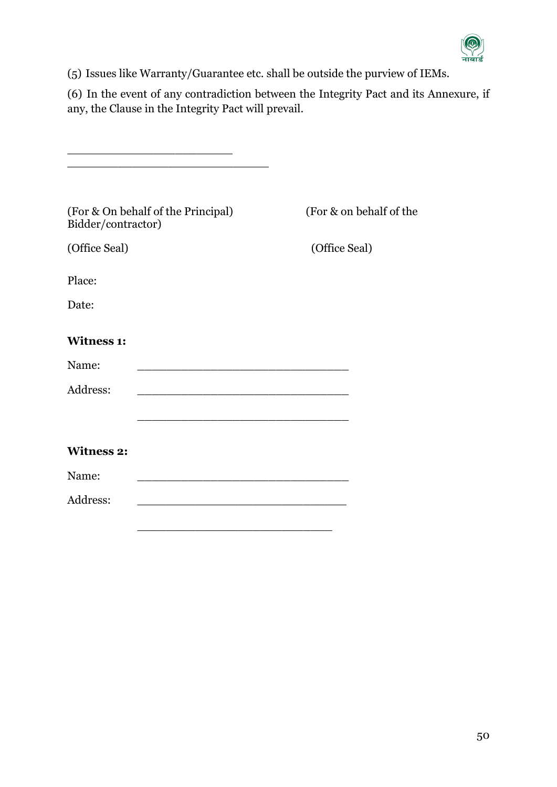

(5) Issues like Warranty/Guarantee etc. shall be outside the purview of IEMs.

(6) In the event of any contradiction between the Integrity Pact and its Annexure, if any, the Clause in the Integrity Pact will prevail.

| (For & On behalf of the Principal)<br>Bidder/contractor) | (For & on behalf of the                                                                                               |
|----------------------------------------------------------|-----------------------------------------------------------------------------------------------------------------------|
| (Office Seal)                                            | (Office Seal)                                                                                                         |
| Place:                                                   |                                                                                                                       |
| Date:                                                    |                                                                                                                       |
| <b>Witness 1:</b>                                        |                                                                                                                       |
| Name:                                                    |                                                                                                                       |
| Address:                                                 |                                                                                                                       |
|                                                          | <u> 1980 - Johann Barn, amerikan besteman besteman besteman besteman besteman besteman besteman besteman besteman</u> |
| <b>Witness 2:</b>                                        |                                                                                                                       |
| Name:                                                    |                                                                                                                       |
| Address:                                                 |                                                                                                                       |
|                                                          |                                                                                                                       |